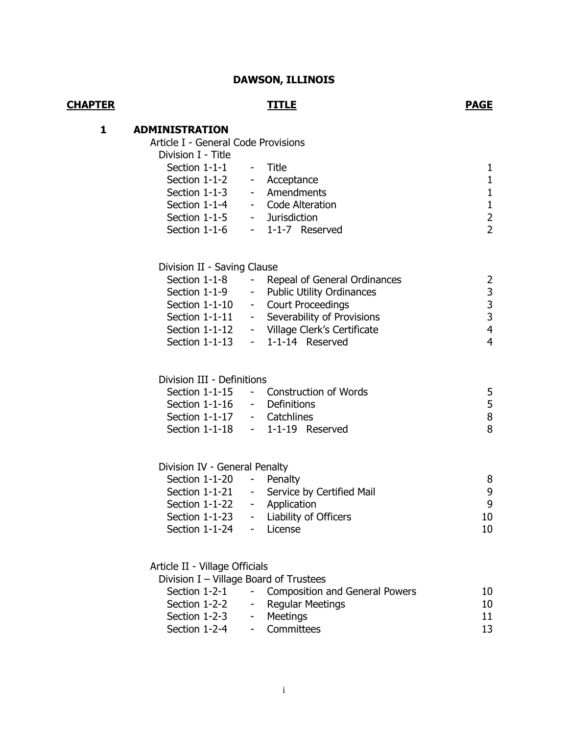## **DAWSON, ILLINOIS**

## **CHAPTER TITLE PAGE**

#### **1 ADMINISTRATION**

| Article I - General Code Provisions |
|-------------------------------------|
|-------------------------------------|

| Division I - Title         |                   |               |
|----------------------------|-------------------|---------------|
| Section 1-1-1 - Title      |                   | 1             |
| Section 1-1-2 - Acceptance |                   | 1             |
| Section 1-1-3              | - Amendments      | 1             |
| Section 1-1-4              | - Code Alteration | 1             |
| Section 1-1-5              | - Jurisdiction    | $\mathcal{L}$ |
| Section 1-1-6              | - 1-1-7 Reserved  | $\mathcal{D}$ |
|                            |                   |               |

### Division II - Saving Clause

| Section 1-1-8  | - Repeal of General Ordinances | $\mathcal{P}$ |
|----------------|--------------------------------|---------------|
| Section 1-1-9  | - Public Utility Ordinances    | 3             |
| Section 1-1-10 | - Court Proceedings            | 3             |
| Section 1-1-11 | - Severability of Provisions   | 3             |
| Section 1-1-12 | - Village Clerk's Certificate  | 4             |
| Section 1-1-13 | $-$ 1-1-14 Reserved            | 4             |
|                |                                |               |

## Division III - Definitions

|                              | Section 1-1-15 - Construction of Words |    |
|------------------------------|----------------------------------------|----|
| Section 1-1-16 - Definitions |                                        | .5 |
| Section 1-1-17 - Catchlines  |                                        |    |
|                              | Section $1-1-18$ - $1-1-19$ Reserved   |    |

### Division IV - General Penalty

| Section 1-1-20           | - Penalty                   | 8  |
|--------------------------|-----------------------------|----|
| Section 1-1-21           | - Service by Certified Mail | 9  |
| Section 1-1-22           | - Application               | q  |
| Section 1-1-23           | - Liability of Officers     | 10 |
| Section 1-1-24 - License |                             | 10 |

### Article II - Village Officials

|  |                                                                                                                                | 10 |
|--|--------------------------------------------------------------------------------------------------------------------------------|----|
|  |                                                                                                                                | 10 |
|  |                                                                                                                                | 11 |
|  |                                                                                                                                | 13 |
|  | Division I - Village Board of Trustees<br>- Composition and General Powers<br>- Regular Meetings<br>- Meetings<br>- Committees |    |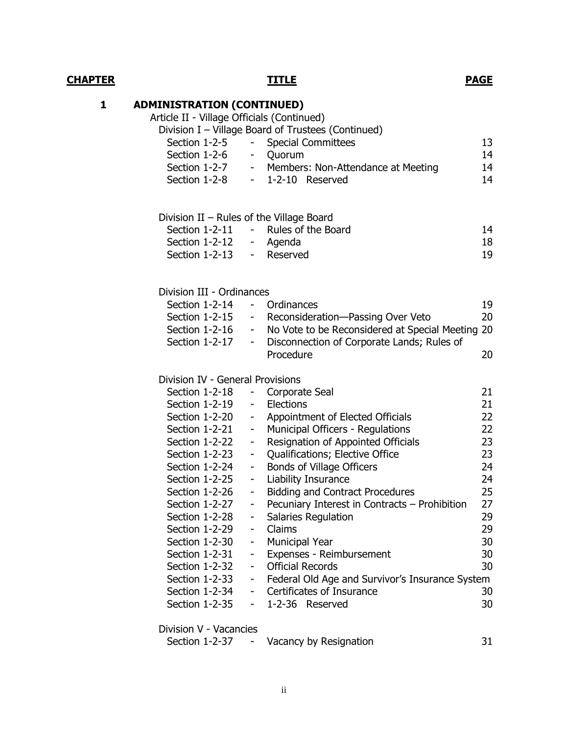## **1 ADMINISTRATION (CONTINUED)**

Article II - Village Officials (Continued)<br>Division I - Village Board of Trustees

|               | Division I – Village Board of Trustees (Continued) |    |
|---------------|----------------------------------------------------|----|
| Section 1-2-5 | - Special Committees                               | 13 |
| Section 1-2-6 | - Quorum                                           | 14 |
| Section 1-2-7 | - Members: Non-Attendance at Meeting               | 14 |
| Section 1-2-8 | $-$ 1-2-10 Reserved                                | 14 |
|               |                                                    |    |

### Division II – Rules of the Village Board

|                           | Section 1-2-11 - Rules of the Board | 14 |
|---------------------------|-------------------------------------|----|
| Section 1-2-12 - Agenda   |                                     | 18 |
| Section 1-2-13 - Reserved |                                     | 19 |

#### Division III - Ordinances

| Section 1-2-14 |            | - Ordinances                                     | 19 |
|----------------|------------|--------------------------------------------------|----|
| Section 1-2-15 |            | - Reconsideration-Passing Over Veto              | 20 |
| Section 1-2-16 |            | No Vote to be Reconsidered at Special Meeting 20 |    |
| Section 1-2-17 | $\sim 100$ | Disconnection of Corporate Lands; Rules of       |    |
|                |            | Procedure                                        | 20 |

## Division IV - General Provisions

| Section 1-2-18        | -                            | Corporate Seal                                  | 21 |
|-----------------------|------------------------------|-------------------------------------------------|----|
| Section 1-2-19        | $\overline{\phantom{a}}$     | Elections                                       | 21 |
| Section 1-2-20        | $\overline{\phantom{a}}$     | Appointment of Elected Officials                | 22 |
| Section 1-2-21        | $\qquad \qquad \blacksquare$ | Municipal Officers - Regulations                | 22 |
| Section 1-2-22        | $\blacksquare$               | Resignation of Appointed Officials              | 23 |
| <b>Section 1-2-23</b> | -                            | Qualifications; Elective Office                 | 23 |
| Section 1-2-24        | $\qquad \qquad \blacksquare$ | <b>Bonds of Village Officers</b>                | 24 |
| Section 1-2-25        | $\overline{\phantom{0}}$     | <b>Liability Insurance</b>                      | 24 |
| Section 1-2-26        | $\overline{\phantom{0}}$     | <b>Bidding and Contract Procedures</b>          | 25 |
| Section 1-2-27        | $\qquad \qquad \blacksquare$ | Pecuniary Interest in Contracts - Prohibition   | 27 |
| Section 1-2-28        | -                            | <b>Salaries Regulation</b>                      | 29 |
| Section 1-2-29        | -                            | Claims                                          | 29 |
| Section 1-2-30        | $\qquad \qquad \blacksquare$ | <b>Municipal Year</b>                           | 30 |
| Section 1-2-31        | $\frac{1}{2}$                | Expenses - Reimbursement                        | 30 |
| Section 1-2-32        | ÷,                           | <b>Official Records</b>                         | 30 |
| Section 1-2-33        | $\overline{\phantom{a}}$     | Federal Old Age and Survivor's Insurance System |    |
| Section 1-2-34        | $\overline{\phantom{a}}$     | Certificates of Insurance                       | 30 |
| Section 1-2-35        | -                            | 1-2-36 Reserved                                 | 30 |
|                       |                              |                                                 |    |

Division V - Vacancies

| Section 1-2-37 | Vacancy by Resignation |  |
|----------------|------------------------|--|
|----------------|------------------------|--|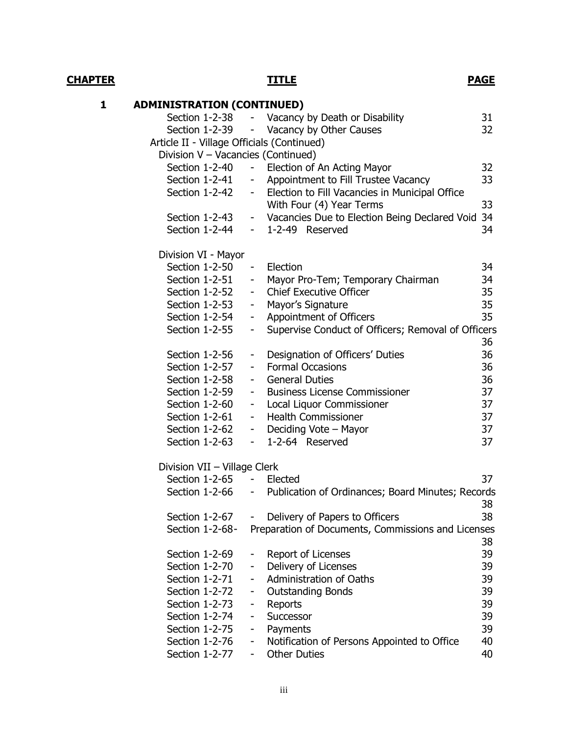| 1 | <b>ADMINISTRATION (CONTINUED)</b>          |                          |                                                    |    |
|---|--------------------------------------------|--------------------------|----------------------------------------------------|----|
|   |                                            |                          | Section 1-2-38 - Vacancy by Death or Disability    | 31 |
|   |                                            |                          | Section 1-2-39 - Vacancy by Other Causes           | 32 |
|   | Article II - Village Officials (Continued) |                          |                                                    |    |
|   | Division V - Vacancies (Continued)         |                          |                                                    |    |
|   | Section 1-2-40                             | $\sigma_{\rm{max}}$      | Election of An Acting Mayor                        | 32 |
|   | Section 1-2-41                             |                          | - Appointment to Fill Trustee Vacancy              | 33 |
|   | Section 1-2-42                             |                          | - Election to Fill Vacancies in Municipal Office   |    |
|   |                                            |                          | With Four (4) Year Terms                           | 33 |
|   | Section 1-2-43                             |                          | - Vacancies Due to Election Being Declared Void    | 34 |
|   | Section 1-2-44                             |                          | $-$ 1-2-49 Reserved                                | 34 |
|   | Division VI - Mayor                        |                          |                                                    |    |
|   | Section 1-2-50                             | $\sim 10$                | Election                                           | 34 |
|   | Section 1-2-51                             |                          | - Mayor Pro-Tem; Temporary Chairman                | 34 |
|   | Section 1-2-52                             | $\sim 100$               | <b>Chief Executive Officer</b>                     | 35 |
|   | Section 1-2-53                             |                          | - Mayor's Signature                                | 35 |
|   | Section 1-2-54                             |                          | - Appointment of Officers                          | 35 |
|   | Section 1-2-55                             | $\sigma_{\rm{max}}$      | Supervise Conduct of Officers; Removal of Officers |    |
|   |                                            |                          |                                                    | 36 |
|   | Section 1-2-56                             | $\overline{\phantom{a}}$ | Designation of Officers' Duties                    | 36 |
|   | Section 1-2-57                             | $\sim 100$               | <b>Formal Occasions</b>                            | 36 |
|   | Section 1-2-58                             |                          | <b>General Duties</b>                              | 36 |
|   | Section 1-2-59                             |                          | - Business License Commissioner                    | 37 |
|   | Section 1-2-60                             |                          | - Local Liquor Commissioner                        | 37 |
|   | Section 1-2-61                             |                          | - Health Commissioner                              | 37 |
|   | Section 1-2-62                             |                          | - Deciding Vote - Mayor                            | 37 |
|   | Section 1-2-63                             | $\sim$                   | 1-2-64 Reserved                                    | 37 |
|   | Division VII - Village Clerk               |                          |                                                    |    |
|   | Section 1-2-65 - Elected                   |                          |                                                    | 37 |
|   | Section 1-2-66                             | $\sim$ 10 $\pm$          | Publication of Ordinances; Board Minutes; Records  |    |
|   |                                            |                          |                                                    | 38 |
|   | Section 1-2-67                             |                          | Delivery of Papers to Officers                     | 38 |
|   | Section 1-2-68-                            |                          | Preparation of Documents, Commissions and Licenses | 38 |
|   | Section 1-2-69                             |                          | Report of Licenses                                 | 39 |
|   | Section 1-2-70                             |                          | Delivery of Licenses                               | 39 |
|   | Section 1-2-71                             |                          | <b>Administration of Oaths</b>                     | 39 |
|   | Section 1-2-72                             | ۰                        | <b>Outstanding Bonds</b>                           | 39 |
|   | Section 1-2-73                             | Ξ.                       | Reports                                            | 39 |
|   | Section 1-2-74                             | Ξ.                       | Successor                                          | 39 |
|   | Section 1-2-75                             | ۳                        | Payments                                           | 39 |
|   | Section 1-2-76                             | ۰.                       | Notification of Persons Appointed to Office        | 40 |
|   | Section 1-2-77                             | - 1                      | <b>Other Duties</b>                                | 40 |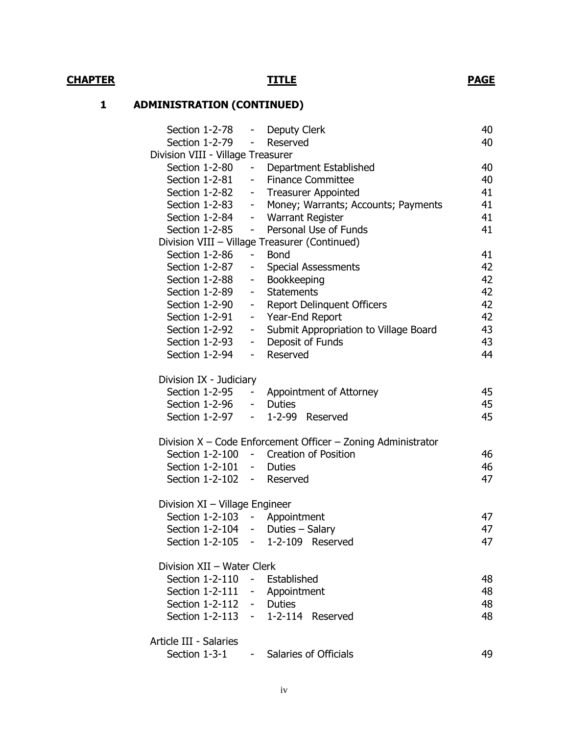# **1 ADMINISTRATION (CONTINUED)**

| Section 1-2-78 - Deputy Clerk     |                                 |                                                              | 40 |
|-----------------------------------|---------------------------------|--------------------------------------------------------------|----|
| Section 1-2-79                    | $\qquad \qquad \blacksquare$    | Reserved                                                     | 40 |
| Division VIII - Village Treasurer |                                 |                                                              |    |
| Section 1-2-80                    |                                 | - Department Established                                     | 40 |
| Section 1-2-81                    |                                 | - Finance Committee                                          | 40 |
| Section 1-2-82                    |                                 | - Treasurer Appointed                                        | 41 |
| Section 1-2-83                    |                                 | - Money; Warrants; Accounts; Payments                        | 41 |
| Section 1-2-84                    |                                 | - Warrant Register                                           | 41 |
| Section 1-2-85                    | $\sim 100$                      | Personal Use of Funds                                        | 41 |
|                                   |                                 | Division VIII - Village Treasurer (Continued)                |    |
| Section 1-2-86                    | $\frac{1}{2}$ and $\frac{1}{2}$ | <b>Bond</b>                                                  | 41 |
| Section 1-2-87                    | $\sim$                          | <b>Special Assessments</b>                                   | 42 |
| Section 1-2-88                    | $\overline{\phantom{0}}$        | Bookkeeping                                                  | 42 |
| Section 1-2-89                    | $\sim$ 10 $\pm$                 | <b>Statements</b>                                            | 42 |
| Section 1-2-90                    |                                 | - Report Delinquent Officers                                 | 42 |
| Section 1-2-91                    |                                 | - Year-End Report                                            | 42 |
| Section 1-2-92                    | ۰.                              | Submit Appropriation to Village Board                        | 43 |
| Section 1-2-93                    |                                 | - Deposit of Funds                                           | 43 |
| Section 1-2-94                    |                                 | - Reserved                                                   | 44 |
|                                   |                                 |                                                              |    |
| Division IX - Judiciary           |                                 |                                                              |    |
|                                   |                                 | Section 1-2-95 - Appointment of Attorney                     | 45 |
| Section 1-2-96 - Duties           |                                 |                                                              | 45 |
| Section $1-2-97$ -                |                                 | 1-2-99 Reserved                                              | 45 |
|                                   |                                 |                                                              |    |
|                                   |                                 | Division X - Code Enforcement Officer - Zoning Administrator |    |
| Section 1-2-100                   | $\frac{1}{2}$ , $\frac{1}{2}$   | <b>Creation of Position</b>                                  | 46 |
| Section 1-2-101 - Duties          |                                 |                                                              | 46 |
| Section 1-2-102 - Reserved        |                                 |                                                              | 47 |
|                                   |                                 |                                                              |    |
| Division XI - Village Engineer    |                                 |                                                              |    |
| Section 1-2-103 - Appointment     |                                 |                                                              | 47 |
| Section 1-2-104 - Duties - Salary |                                 |                                                              | 47 |
|                                   |                                 | Section 1-2-105 - 1-2-109 Reserved                           | 47 |
| Division XII - Water Clerk        |                                 |                                                              |    |
| Section 1-2-110 - Established     |                                 |                                                              | 48 |
| Section 1-2-111 - Appointment     |                                 |                                                              | 48 |
| Section 1-2-112 - Duties          |                                 |                                                              | 48 |
|                                   |                                 | Section 1-2-113 - 1-2-114 Reserved                           | 48 |
|                                   |                                 |                                                              |    |
| Article III - Salaries            |                                 |                                                              |    |
| Section 1-3-1                     | $\sim$ 10 $\pm$                 | <b>Salaries of Officials</b>                                 | 49 |
|                                   |                                 |                                                              |    |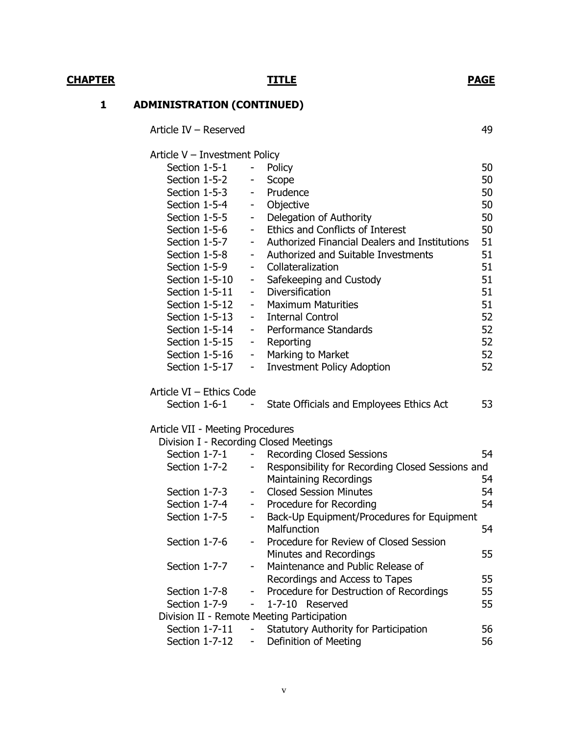#### **1 ADMINISTRATION (CONTINUED)**

Article IV – Reserved 49

Article V – Investment Policy Section 1-5-1 - Policy 50 Section 1-5-2 - Scope 50 Section 1-5-3 contract Prudence and Southwest 1-5-3 contract 1-50 contract 1-50 contract 1-50 contract 1-50 contract 1-50 contract 1-50 contract 1-50 contract 1-50 contract 1-50 contract 1-50 contract 1-50 contract 1-50 co Section 1-5-4 - Objective 50 Section 1-5-5 - Delegation of Authority 50 Section 1-5-6 - Ethics and Conflicts of Interest 50 Section 1-5-7 - Authorized Financial Dealers and Institutions 51 Section 1-5-8 - Authorized and Suitable Investments 51 Section 1-5-9 - Collateralization 51 Section 1-5-10 - Safekeeping and Custody 51 Section 1-5-11 - Diversification 51 Section 1-5-12 - Maximum Maturities **51** Section 1-5-13 - Internal Control 52 Section 1-5-14 - Performance Standards 52 Section 1-5-15 - Reporting 52 Section 1-5-16 - Marking to Market 52 Section 1-5-17 - Investment Policy Adoption 52 Article VI – Ethics Code Section 1-6-1 - State Officials and Employees Ethics Act 53 Article VII - Meeting Procedures Division I - Recording Closed Meetings Section 1-7-1 - Recording Closed Sessions 54 Section 1-7-2 - Responsibility for Recording Closed Sessions and Maintaining Recordings 54 Section 1-7-3 - Closed Session Minutes 54 Section 1-7-4 - Procedure for Recording Theorem 34 Section 1-7-5 - Back-Up Equipment/Procedures for Equipment Malfunction 54 Section 1-7-6 - Procedure for Review of Closed Session Minutes and Recordings 65 Section 1-7-7 - Maintenance and Public Release of Recordings and Access to Tapes 55 Section 1-7-8 - Procedure for Destruction of Recordings 55 Section 1-7-9 - 1-7-10 Reserved 55 Division II - Remote Meeting Participation Section 1-7-11 - Statutory Authority for Participation 56 Section 1-7-12 - Definition of Meeting 56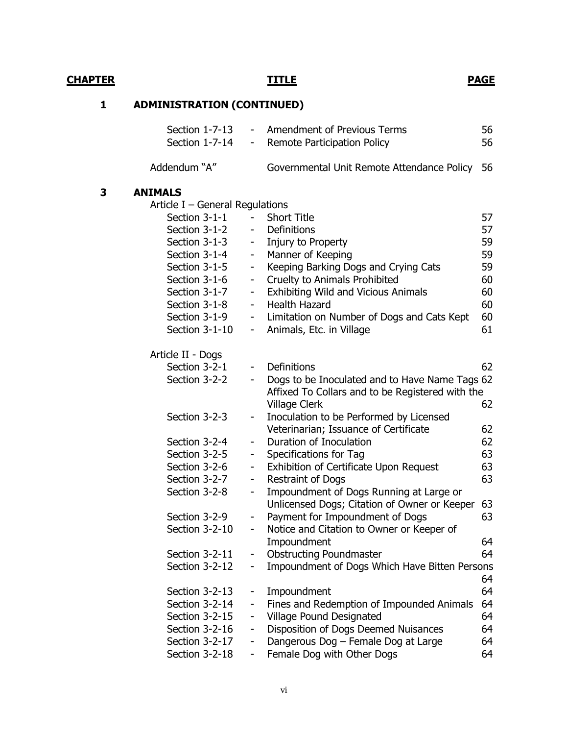# **1 ADMINISTRATION (CONTINUED)**

|   | Section 1-7-13<br>Section 1-7-14 |                | <b>Amendment of Previous Terms</b><br>Remote Participation Policy                                  | 56<br>56 |
|---|----------------------------------|----------------|----------------------------------------------------------------------------------------------------|----------|
|   | Addendum "A"                     |                | Governmental Unit Remote Attendance Policy                                                         | 56       |
| 3 | <b>ANIMALS</b>                   |                |                                                                                                    |          |
|   | Article I – General Regulations  |                |                                                                                                    |          |
|   | Section 3-1-1                    | $\sim$         | <b>Short Title</b>                                                                                 | 57       |
|   | Section 3-1-2                    | $\blacksquare$ | Definitions                                                                                        | 57       |
|   | Section 3-1-3                    | ۰.             | Injury to Property                                                                                 | 59       |
|   | Section 3-1-4                    | Ξ.             | Manner of Keeping                                                                                  | 59       |
|   | Section 3-1-5                    | ۰.             | Keeping Barking Dogs and Crying Cats                                                               | 59       |
|   | Section 3-1-6                    | ۳.             | Cruelty to Animals Prohibited                                                                      | 60       |
|   | Section 3-1-7                    | ۰,             | <b>Exhibiting Wild and Vicious Animals</b>                                                         | 60       |
|   | Section 3-1-8                    | $\blacksquare$ | <b>Health Hazard</b>                                                                               | 60       |
|   | Section 3-1-9                    | ۰.             | Limitation on Number of Dogs and Cats Kept                                                         | 60       |
|   | Section 3-1-10                   | ۳.             | Animals, Etc. in Village                                                                           | 61       |
|   | Article II - Dogs                |                |                                                                                                    |          |
|   | Section 3-2-1                    | ۰.             | Definitions                                                                                        | 62       |
|   | Section 3-2-2                    | ۰.             | Dogs to be Inoculated and to Have Name Tags 62<br>Affixed To Collars and to be Registered with the |          |
|   |                                  |                | <b>Village Clerk</b>                                                                               | 62       |
|   | Section 3-2-3                    | ۰.             | Inoculation to be Performed by Licensed                                                            |          |
|   |                                  |                | Veterinarian; Issuance of Certificate                                                              | 62       |
|   | Section 3-2-4                    |                | Duration of Inoculation                                                                            | 62       |
|   | Section 3-2-5                    | Ξ.             | Specifications for Tag                                                                             | 63       |
|   | Section 3-2-6                    | Ξ.             | Exhibition of Certificate Upon Request                                                             | 63       |
|   | Section 3-2-7                    | ۰,             | <b>Restraint of Dogs</b>                                                                           | 63       |
|   | Section 3-2-8                    |                | Impoundment of Dogs Running at Large or                                                            |          |
|   |                                  |                | Unlicensed Dogs; Citation of Owner or Keeper                                                       | 63       |
|   | Section 3-2-9                    | Ξ.             | Payment for Impoundment of Dogs                                                                    | 63       |
|   | Section 3-2-10                   | ۳.             | Notice and Citation to Owner or Keeper of                                                          |          |
|   |                                  |                | Impoundment                                                                                        | 64       |
|   | Section 3-2-11                   |                | <b>Obstructing Poundmaster</b>                                                                     | 64       |
|   | Section 3-2-12                   |                | Impoundment of Dogs Which Have Bitten Persons                                                      |          |
|   |                                  |                |                                                                                                    | 64       |
|   | Section 3-2-13                   |                | Impoundment                                                                                        | 64       |
|   | Section 3-2-14                   |                | Fines and Redemption of Impounded Animals                                                          | 64       |
|   | Section 3-2-15                   | -              | <b>Village Pound Designated</b>                                                                    | 64       |
|   | Section 3-2-16                   |                | Disposition of Dogs Deemed Nuisances                                                               | 64       |
|   | Section 3-2-17                   |                | Dangerous Dog - Female Dog at Large                                                                | 64       |
|   | Section 3-2-18                   |                | Female Dog with Other Dogs                                                                         | 64       |
|   |                                  |                |                                                                                                    |          |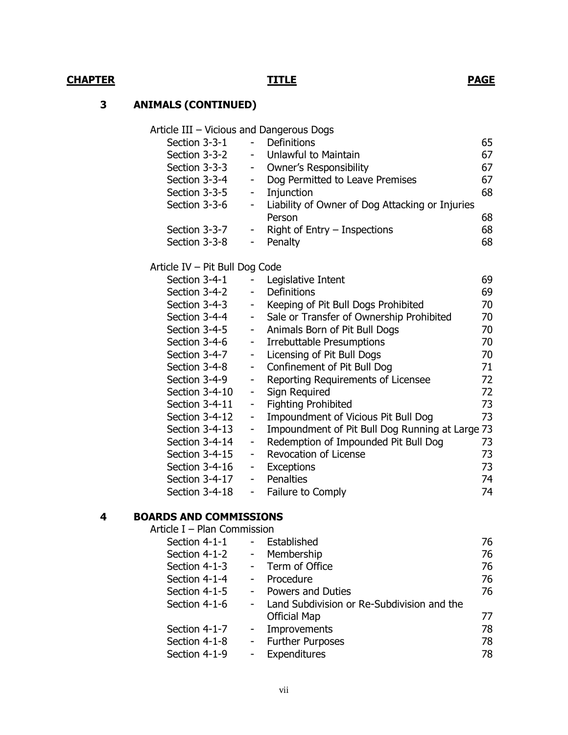## **3 ANIMALS (CONTINUED)**

Article III – Vicious and Dangerous Dogs

| Section 3-3-1 | $\sim$                       | Definitions                                     | 65 |
|---------------|------------------------------|-------------------------------------------------|----|
| Section 3-3-2 | $\overline{\phantom{a}}$     | Unlawful to Maintain                            | 67 |
| Section 3-3-3 | $\overline{\phantom{a}}$     | <b>Owner's Responsibility</b>                   | 67 |
| Section 3-3-4 | $\overline{\phantom{a}}$     | Dog Permitted to Leave Premises                 | 67 |
| Section 3-3-5 | $\qquad \qquad \blacksquare$ | Injunction                                      | 68 |
| Section 3-3-6 | $\overline{\phantom{a}}$     | Liability of Owner of Dog Attacking or Injuries |    |
|               |                              | Person                                          | 68 |
| Section 3-3-7 | $\sim$                       | Right of $Entry - Inspections$                  | 68 |
| Section 3-3-8 | $\qquad \qquad \blacksquare$ | Penalty                                         | 68 |
|               |                              |                                                 |    |

### Article IV – Pit Bull Dog Code

| Section 3-4-1  |                          | Legislative Intent                              | 69 |
|----------------|--------------------------|-------------------------------------------------|----|
| Section 3-4-2  |                          | Definitions                                     | 69 |
| Section 3-4-3  | -                        | Keeping of Pit Bull Dogs Prohibited             | 70 |
| Section 3-4-4  | $\overline{\phantom{a}}$ | Sale or Transfer of Ownership Prohibited        | 70 |
| Section 3-4-5  | $\overline{\phantom{a}}$ | Animals Born of Pit Bull Dogs                   | 70 |
| Section 3-4-6  | $\overline{\phantom{a}}$ | <b>Irrebuttable Presumptions</b>                | 70 |
| Section 3-4-7  | $\overline{\phantom{a}}$ | Licensing of Pit Bull Dogs                      | 70 |
| Section 3-4-8  | -                        | Confinement of Pit Bull Dog                     | 71 |
| Section 3-4-9  | ۰                        | Reporting Requirements of Licensee              | 72 |
| Section 3-4-10 | ۰                        | Sign Required                                   | 72 |
| Section 3-4-11 | $\overline{\phantom{0}}$ | <b>Fighting Prohibited</b>                      | 73 |
| Section 3-4-12 | $\overline{\phantom{0}}$ | Impoundment of Vicious Pit Bull Dog             | 73 |
| Section 3-4-13 | $\overline{\phantom{0}}$ | Impoundment of Pit Bull Dog Running at Large 73 |    |
| Section 3-4-14 | ۰                        | Redemption of Impounded Pit Bull Dog            | 73 |
| Section 3-4-15 | $\overline{\phantom{a}}$ | <b>Revocation of License</b>                    | 73 |
| Section 3-4-16 | -                        | <b>Exceptions</b>                               | 73 |
| Section 3-4-17 | $\blacksquare$           | Penalties                                       | 74 |
| Section 3-4-18 |                          | Failure to Comply                               | 74 |

### **4 BOARDS AND COMMISSIONS**

Article I – Plan Commission

| Section 4-1-1 | Established                                  | 76 |
|---------------|----------------------------------------------|----|
| Section 4-1-2 | Membership                                   | 76 |
| Section 4-1-3 | Term of Office                               | 76 |
| Section 4-1-4 | Procedure                                    | 76 |
| Section 4-1-5 | <b>Powers and Duties</b>                     | 76 |
| Section 4-1-6 | - Land Subdivision or Re-Subdivision and the |    |
|               | <b>Official Map</b>                          | 77 |
| Section 4-1-7 | Improvements                                 | 78 |
| Section 4-1-8 | <b>Further Purposes</b>                      | 78 |
| Section 4-1-9 | Expenditures                                 | 78 |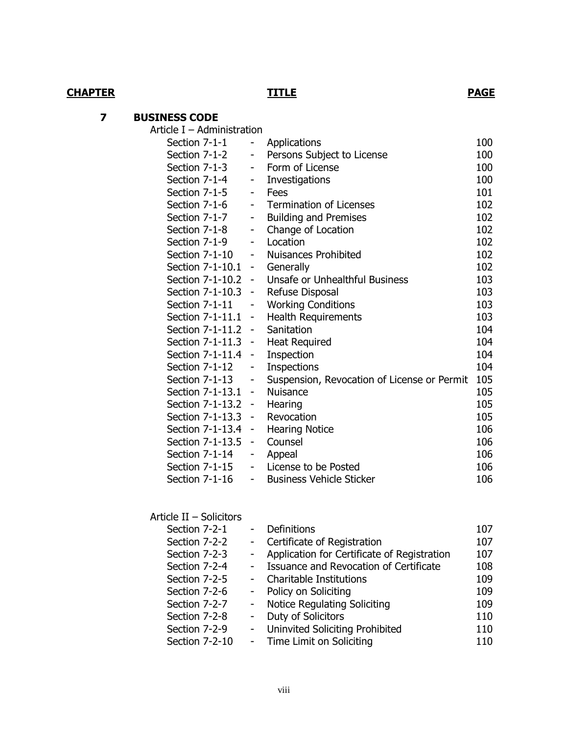## **7 BUSINESS CODE**

Article I – Administration

| Section 7-1-1  |                  | ۰                            | Applications                                | 100 |
|----------------|------------------|------------------------------|---------------------------------------------|-----|
| Section 7-1-2  |                  | ۰                            | Persons Subject to License                  | 100 |
| Section 7-1-3  |                  | $\overline{\phantom{a}}$     | Form of License                             | 100 |
| Section 7-1-4  |                  | ۰                            | Investigations                              | 100 |
| Section 7-1-5  |                  | $\overline{\phantom{a}}$     | Fees                                        | 101 |
| Section 7-1-6  |                  | $\overline{a}$               | <b>Termination of Licenses</b>              | 102 |
| Section 7-1-7  |                  | $\qquad \qquad \blacksquare$ | <b>Building and Premises</b>                | 102 |
| Section 7-1-8  |                  | ۰                            | Change of Location                          | 102 |
| Section 7-1-9  |                  |                              | Location                                    | 102 |
| Section 7-1-10 |                  | $\overline{\phantom{a}}$     | <b>Nuisances Prohibited</b>                 | 102 |
|                | Section 7-1-10.1 | $\overline{\phantom{a}}$     | Generally                                   | 102 |
|                | Section 7-1-10.2 | $\qquad \qquad \blacksquare$ | Unsafe or Unhealthful Business              | 103 |
|                | Section 7-1-10.3 | $\blacksquare$               | Refuse Disposal                             | 103 |
| Section 7-1-11 |                  | ۰                            | <b>Working Conditions</b>                   | 103 |
|                | Section 7-1-11.1 | $\qquad \qquad \blacksquare$ | <b>Health Requirements</b>                  | 103 |
|                | Section 7-1-11.2 | $\overline{\phantom{a}}$     | Sanitation                                  | 104 |
|                | Section 7-1-11.3 | $\overline{\phantom{0}}$     | <b>Heat Required</b>                        | 104 |
|                | Section 7-1-11.4 | ÷                            | Inspection                                  | 104 |
| Section 7-1-12 |                  | -                            | <b>Inspections</b>                          | 104 |
| Section 7-1-13 |                  | -                            | Suspension, Revocation of License or Permit | 105 |
|                | Section 7-1-13.1 | $\overline{\phantom{a}}$     | <b>Nuisance</b>                             | 105 |
|                | Section 7-1-13.2 | -                            | Hearing                                     | 105 |
|                | Section 7-1-13.3 | $\overline{\phantom{a}}$     | Revocation                                  | 105 |
|                | Section 7-1-13.4 | $\overline{\phantom{a}}$     | <b>Hearing Notice</b>                       | 106 |
|                | Section 7-1-13.5 | $\overline{\phantom{a}}$     | Counsel                                     | 106 |
| Section 7-1-14 |                  | ۰                            | Appeal                                      | 106 |
| Section 7-1-15 |                  | $\overline{\phantom{a}}$     | License to be Posted                        | 106 |
| Section 7-1-16 |                  | $\overline{\phantom{0}}$     | <b>Business Vehicle Sticker</b>             | 106 |

### Article II – Solicitors

| Section 7-2-1  |        | Definitions                                 | 107 |
|----------------|--------|---------------------------------------------|-----|
| Section 7-2-2  |        | Certificate of Registration                 | 107 |
| Section 7-2-3  |        | Application for Certificate of Registration | 107 |
| Section 7-2-4  |        | Issuance and Revocation of Certificate      | 108 |
| Section 7-2-5  |        | <b>Charitable Institutions</b>              | 109 |
| Section 7-2-6  | $\sim$ | Policy on Soliciting                        | 109 |
| Section 7-2-7  | $\sim$ | <b>Notice Regulating Soliciting</b>         | 109 |
| Section 7-2-8  |        | Duty of Solicitors                          | 110 |
| Section 7-2-9  | $\sim$ | Uninvited Soliciting Prohibited             | 110 |
| Section 7-2-10 |        | Time Limit on Soliciting                    | 110 |
|                |        |                                             |     |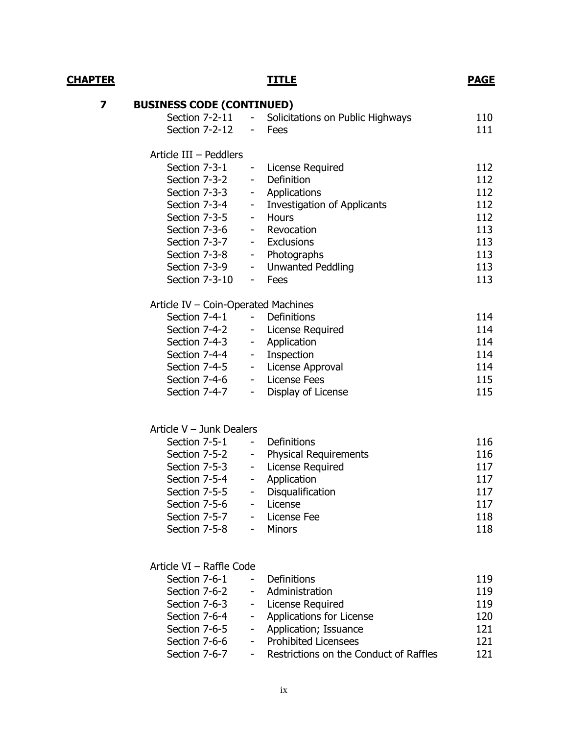| 7 | <b>BUSINESS CODE (CONTINUED)</b>    |                  |                                        |     |
|---|-------------------------------------|------------------|----------------------------------------|-----|
|   | Section $7-2-11$ -                  |                  | Solicitations on Public Highways       | 110 |
|   | Section 7-2-12                      | $\sim 100$       | Fees                                   | 111 |
|   | Article III - Peddlers              |                  |                                        |     |
|   | Section 7-3-1                       |                  | - License Required                     | 112 |
|   | Section 7-3-2                       | - 1              | Definition                             | 112 |
|   | Section 7-3-3                       |                  | - Applications                         | 112 |
|   | Section 7-3-4                       |                  | - Investigation of Applicants          | 112 |
|   | Section 7-3-5                       |                  | - Hours                                | 112 |
|   | Section 7-3-6                       |                  | - Revocation                           | 113 |
|   | Section 7-3-7                       |                  | - Exclusions                           | 113 |
|   | Section 7-3-8                       |                  | - Photographs                          | 113 |
|   | Section 7-3-9                       |                  | - Unwanted Peddling                    | 113 |
|   | Section 7-3-10                      |                  | - Fees                                 | 113 |
|   | Article IV - Coin-Operated Machines |                  |                                        |     |
|   | Section 7-4-1                       |                  | Definitions                            | 114 |
|   | Section 7-4-2                       | $\sim 100$       | License Required                       | 114 |
|   | Section 7-4-3                       | $\sim 100$       | Application                            | 114 |
|   | Section 7-4-4                       |                  | - Inspection                           | 114 |
|   | Section 7-4-5                       |                  | - License Approval                     | 114 |
|   | Section 7-4-6                       |                  | - License Fees                         | 115 |
|   | Section 7-4-7                       | $\sim 100$       | Display of License                     | 115 |
|   |                                     |                  |                                        |     |
|   | Article V - Junk Dealers            |                  |                                        |     |
|   | Section 7-5-1                       | $\sim$           | Definitions                            | 116 |
|   | Section 7-5-2                       |                  | - Physical Requirements                | 116 |
|   | Section 7-5-3                       | $\sim$           | License Required                       | 117 |
|   | Section 7-5-4                       | $\sim$           | Application                            | 117 |
|   | Section 7-5-5                       | $\sim$           | Disqualification                       | 117 |
|   | Section 7-5-6                       | $\sim$ 100 $\mu$ | License                                | 117 |
|   | Section 7-5-7                       |                  | License Fee                            | 118 |
|   | Section 7-5-8                       |                  | <b>Minors</b>                          | 118 |
|   | Article VI - Raffle Code            |                  |                                        |     |
|   | Section 7-6-1                       |                  | Definitions                            | 119 |
|   | Section 7-6-2                       | $\sim$           | Administration                         | 119 |
|   | Section 7-6-3                       | $\sim$           | License Required                       | 119 |
|   | Section 7-6-4                       | $\sim$           | Applications for License               | 120 |
|   | Section 7-6-5                       |                  | Application; Issuance                  | 121 |
|   | Section 7-6-6                       | - 1              | <b>Prohibited Licensees</b>            | 121 |
|   | Section 7-6-7                       | $\sim 100$       | Restrictions on the Conduct of Raffles | 121 |
|   |                                     | $\sim$           |                                        |     |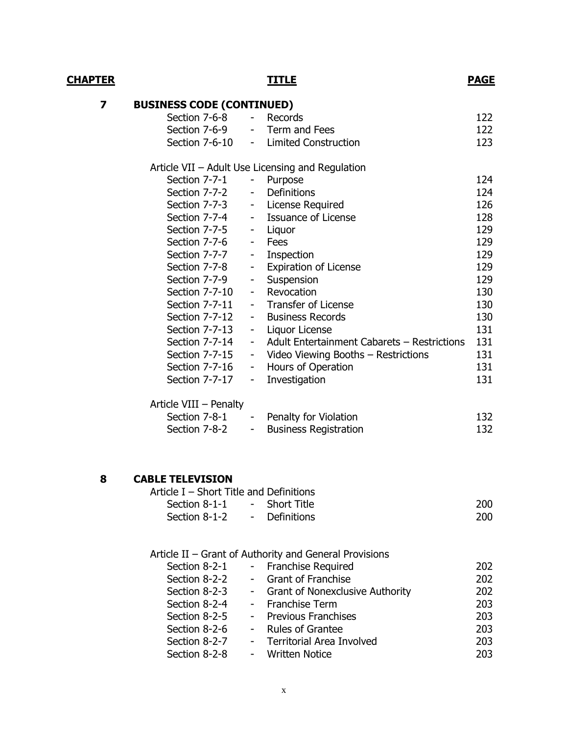| <b>BUSINESS CODE (CONTINUED)</b><br>7 |                          |                                                  |     |
|---------------------------------------|--------------------------|--------------------------------------------------|-----|
| Section 7-6-8                         | $\omega_{\rm{max}}$      | Records                                          | 122 |
| Section 7-6-9                         | $\sim$ $-$               | Term and Fees                                    | 122 |
| Section 7-6-10                        | $\sim 100$               | <b>Limited Construction</b>                      | 123 |
|                                       |                          | Article VII - Adult Use Licensing and Regulation |     |
| Section 7-7-1                         | $\sim$ $-$               | Purpose                                          | 124 |
| Section 7-7-2                         | ٠                        | Definitions                                      | 124 |
| Section 7-7-3                         | $\sim$                   | License Required                                 | 126 |
| Section 7-7-4                         | $\blacksquare$           | <b>Issuance of License</b>                       | 128 |
| Section 7-7-5                         | $\sim 100$               | Liquor                                           | 129 |
| Section 7-7-6                         | $\overline{\phantom{a}}$ | Fees                                             | 129 |
| Section 7-7-7                         | $\blacksquare$           | Inspection                                       | 129 |
| Section 7-7-8                         | $\blacksquare$           | <b>Expiration of License</b>                     | 129 |
| Section 7-7-9                         | ۰.                       | Suspension                                       | 129 |
| Section 7-7-10                        | $\sim 100$               | Revocation                                       | 130 |
| Section 7-7-11                        | ۰.                       | <b>Transfer of License</b>                       | 130 |
| Section 7-7-12                        | $\blacksquare$           | <b>Business Records</b>                          | 130 |
| Section 7-7-13                        | ۰,                       | Liquor License                                   | 131 |
| Section 7-7-14                        | ۰.                       | Adult Entertainment Cabarets - Restrictions      | 131 |
| Section 7-7-15                        |                          | - Video Viewing Booths - Restrictions            | 131 |
| Section 7-7-16                        | ۰.                       | Hours of Operation                               | 131 |
| Section 7-7-17                        | -                        | Investigation                                    | 131 |
| Article VIII - Penalty                |                          |                                                  |     |
| Section 7-8-1                         | $\overline{\phantom{a}}$ | Penalty for Violation                            | 132 |
| Section 7-8-2                         | ۰.                       | <b>Business Registration</b>                     | 132 |
|                                       |                          |                                                  |     |
| <b>CABLE TELEVISION</b><br>8          |                          |                                                  |     |

| Article I – Short Title and Definitions |               |     |
|-----------------------------------------|---------------|-----|
| Section 8-1-1 - Short Title             |               | 200 |
| Section 8-1-2                           | - Definitions | 200 |

| Article II – Grant of Authority and General Provisions |  |
|--------------------------------------------------------|--|
|--------------------------------------------------------|--|

| Section 8-2-1 | - Franchise Required              | 202 |
|---------------|-----------------------------------|-----|
| Section 8-2-2 | - Grant of Franchise              | 202 |
| Section 8-2-3 | - Grant of Nonexclusive Authority | 202 |
| Section 8-2-4 | - Franchise Term                  | 203 |
| Section 8-2-5 | - Previous Franchises             | 203 |
| Section 8-2-6 | - Rules of Grantee                | 203 |
| Section 8-2-7 | - Territorial Area Involved       | 203 |
| Section 8-2-8 | - Written Notice                  | 203 |
|               |                                   |     |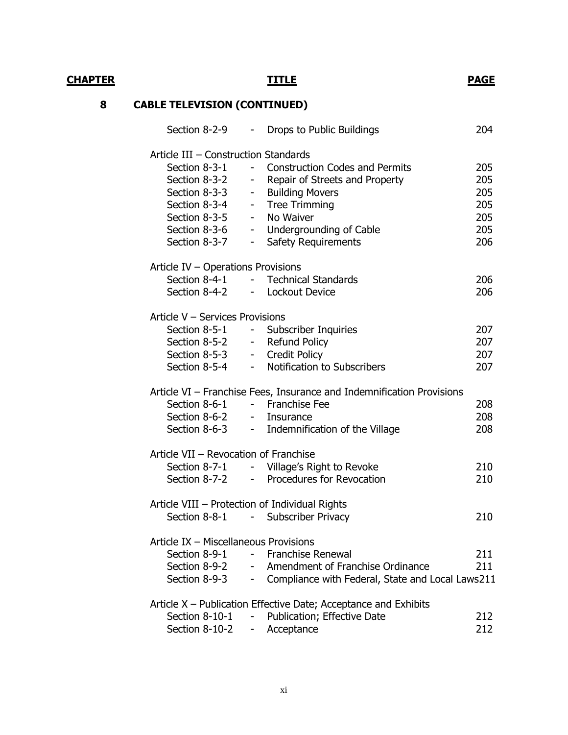# **8 CABLE TELEVISION (CONTINUED)**

|                                       |            | Section 8-2-9 - Drops to Public Buildings                             | 204 |
|---------------------------------------|------------|-----------------------------------------------------------------------|-----|
| Article III - Construction Standards  |            |                                                                       |     |
|                                       |            | Section 8-3-1 - Construction Codes and Permits                        | 205 |
|                                       |            | Section 8-3-2 - Repair of Streets and Property                        | 205 |
|                                       |            |                                                                       | 205 |
|                                       |            | Section 8-3-3 - Building Movers<br>Section 8-3-4 - Tree Trimming      | 205 |
| Section 8-3-5 - No Waiver             |            |                                                                       | 205 |
|                                       |            | Section 8-3-6 - Undergrounding of Cable                               | 205 |
|                                       |            | Section 8-3-7 - Safety Requirements                                   | 206 |
| Article IV - Operations Provisions    |            |                                                                       |     |
|                                       |            | Section 8-4-1 - Technical Standards                                   | 206 |
|                                       |            | Section 8-4-2 - Lockout Device                                        | 206 |
| Article V – Services Provisions       |            |                                                                       |     |
|                                       |            | Section 8-5-1 - Subscriber Inquiries                                  | 207 |
|                                       |            | Section 8-5-2 - Refund Policy                                         | 207 |
|                                       |            | Section 8-5-3<br>Credit Policy                                        | 207 |
|                                       |            | Section 8-5-4 - Notification to Subscribers                           | 207 |
|                                       |            | Article VI - Franchise Fees, Insurance and Indemnification Provisions |     |
|                                       |            | Section 8-6-1 - Franchise Fee                                         | 208 |
| Section 8-6-2 - Insurance             |            |                                                                       | 208 |
|                                       |            | Section 8-6-3 - Indemnification of the Village                        | 208 |
| Article VII - Revocation of Franchise |            |                                                                       |     |
|                                       |            | Section 8-7-1 - Village's Right to Revoke                             | 210 |
|                                       |            | Section 8-7-2 - Procedures for Revocation                             | 210 |
|                                       |            | Article VIII – Protection of Individual Rights                        |     |
|                                       |            | Section 8-8-1 - Subscriber Privacy                                    | 210 |
| Article IX - Miscellaneous Provisions |            |                                                                       |     |
| Section 8-9-1                         |            | - Franchise Renewal                                                   | 211 |
| Section 8-9-2                         |            | Amendment of Franchise Ordinance                                      | 211 |
| Section 8-9-3                         | $\sim 100$ | Compliance with Federal, State and Local Laws211                      |     |
|                                       |            | Article X – Publication Effective Date; Acceptance and Exhibits       |     |
| Section $8-10-1$ -                    |            | Publication; Effective Date                                           | 212 |
| Section 8-10-2                        | -          | Acceptance                                                            | 212 |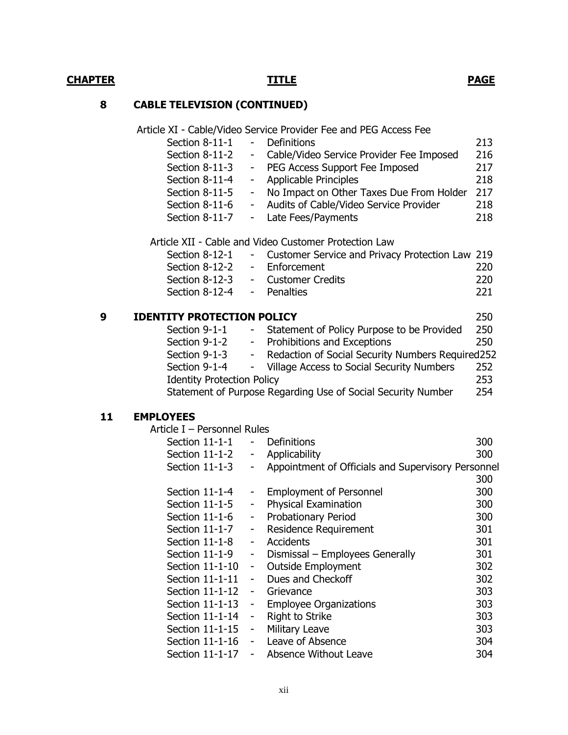#### **8 CABLE TELEVISION (CONTINUED)**

Article XI - Cable/Video Service Provider Fee and PEG Access Fee Section 8-11-1 - Definitions 213 Section 8-11-2 - Cable/Video Service Provider Fee Imposed 216 Section 8-11-3 - PEG Access Support Fee Imposed 217 Section 8-11-4 - Applicable Principles 218 Section 8-11-5 - No Impact on Other Taxes Due From Holder 217 Section 8-11-6 - Audits of Cable/Video Service Provider 218 Section 8-11-7 - Late Fees/Payments 218 Article XII - Cable and Video Customer Protection Law Section 8-12-1 - Customer Service and Privacy Protection Law 219 Section 8-12-2 - Enforcement 220 Section 8-12-3 - Customer Credits 220 Section 8-12-4 - Penalties 221 **9 IDENTITY PROTECTION POLICY** 250

### Section 9-1-1 - Statement of Policy Purpose to be Provided 250 Section 9-1-2 - Prohibitions and Exceptions 250 Section 9-1-3 - Redaction of Social Security Numbers Required252 Section 9-1-4 - Village Access to Social Security Numbers 252 Identity Protection Policy 253 Statement of Purpose Regarding Use of Social Security Number 254

#### **11 EMPLOYEES**

Article I – Personnel Rules

| כטושרו וכוווסטוס |                              |                                                    |     |
|------------------|------------------------------|----------------------------------------------------|-----|
| Section 11-1-1   | $\sim$                       | Definitions                                        | 300 |
| Section 11-1-2   | ۳                            | Applicability                                      | 300 |
| Section 11-1-3   | -                            | Appointment of Officials and Supervisory Personnel |     |
|                  |                              |                                                    | 300 |
| Section 11-1-4   | ۳                            | <b>Employment of Personnel</b>                     | 300 |
| Section $11-1-5$ | -                            | <b>Physical Examination</b>                        | 300 |
| Section 11-1-6   | $\overline{\phantom{0}}$     | Probationary Period                                | 300 |
| Section 11-1-7   | $\qquad \qquad \blacksquare$ | Residence Requirement                              | 301 |
| Section 11-1-8   | $\overline{\phantom{a}}$     | Accidents                                          | 301 |
| Section 11-1-9   | $\overline{\phantom{0}}$     | Dismissal - Employees Generally                    | 301 |
| Section 11-1-10  | ÷                            | <b>Outside Employment</b>                          | 302 |
| Section 11-1-11  | $\overline{\phantom{a}}$     | Dues and Checkoff                                  | 302 |
| Section 11-1-12  | $\overline{\phantom{a}}$     | Grievance                                          | 303 |
| Section 11-1-13  | $\overline{\phantom{a}}$     | <b>Employee Organizations</b>                      | 303 |
| Section 11-1-14  | $\qquad \qquad \blacksquare$ | Right to Strike                                    | 303 |
| Section 11-1-15  | $\overline{\phantom{a}}$     | <b>Military Leave</b>                              | 303 |
| Section 11-1-16  | $\overline{\phantom{a}}$     | Leave of Absence                                   | 304 |
| Section 11-1-17  | $\overline{\phantom{a}}$     | Absence Without Leave                              | 304 |
|                  |                              |                                                    |     |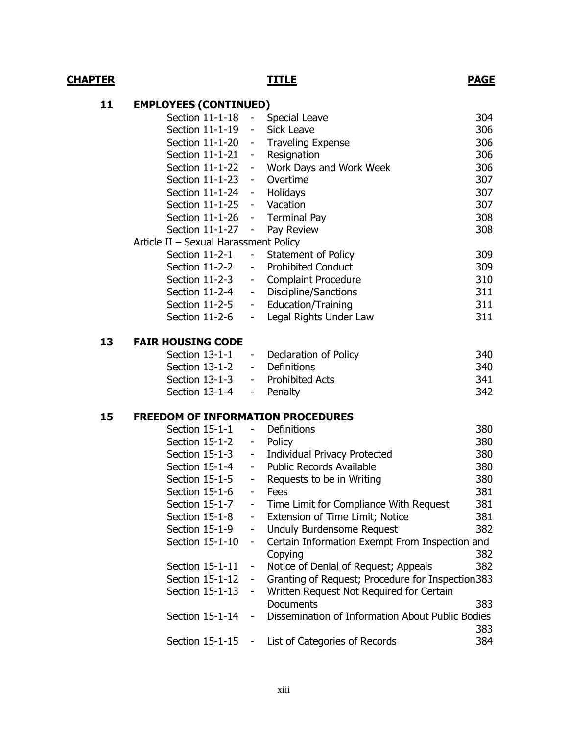| 11 | <b>EMPLOYEES (CONTINUED)</b>             |                                |                                                                                              |     |
|----|------------------------------------------|--------------------------------|----------------------------------------------------------------------------------------------|-----|
|    | Section 11-1-18                          |                                | - Special Leave                                                                              | 304 |
|    | Section 11-1-19                          | $\omega_{\rm{max}}$            | <b>Sick Leave</b>                                                                            | 306 |
|    | Section 11-1-20                          |                                | - Traveling Expense                                                                          | 306 |
|    | Section 11-1-21 -                        |                                | Resignation                                                                                  | 306 |
|    | Section 11-1-22 -                        |                                | Work Days and Work Week                                                                      | 306 |
|    | Section 11-1-23                          | $\sigma_{\rm{max}}$            | Overtime                                                                                     | 307 |
|    | Section 11-1-24 - Holidays               |                                |                                                                                              | 307 |
|    | Section 11-1-25 - Vacation               |                                |                                                                                              | 307 |
|    | Section 11-1-26 - Terminal Pay           |                                |                                                                                              | 308 |
|    | Section 11-1-27                          | $\sim$                         | Pay Review                                                                                   | 308 |
|    | Article II - Sexual Harassment Policy    |                                |                                                                                              |     |
|    | Section 11-2-1                           | $\sigma_{\rm{max}}$            | Statement of Policy                                                                          | 309 |
|    | Section 11-2-2                           | $\sim$                         | <b>Prohibited Conduct</b>                                                                    | 309 |
|    | Section 11-2-3                           | $\sim 100$                     | <b>Complaint Procedure</b>                                                                   | 310 |
|    | Section 11-2-4                           |                                | - Discipline/Sanctions                                                                       | 311 |
|    | Section 11-2-5                           |                                | - Education/Training                                                                         | 311 |
|    | Section 11-2-6                           | Ξ.                             | Legal Rights Under Law                                                                       | 311 |
| 13 | <b>FAIR HOUSING CODE</b>                 |                                |                                                                                              |     |
|    | Section 13-1-1                           | $\sim 100$                     | Declaration of Policy                                                                        | 340 |
|    | Section 13-1-2                           | $\sim 100$                     | Definitions                                                                                  | 340 |
|    | Section 13-1-3                           |                                | - Prohibited Acts                                                                            | 341 |
|    | Section 13-1-4                           | $\sim 100$                     | Penalty                                                                                      | 342 |
| 15 | <b>FREEDOM OF INFORMATION PROCEDURES</b> |                                |                                                                                              |     |
|    | Section 15-1-1                           | $\overline{\phantom{a}}$       | Definitions                                                                                  | 380 |
|    | Section 15-1-2                           | $\sigma_{\rm{max}}$            | Policy                                                                                       | 380 |
|    | Section 15-1-3                           | $\sigma_{\rm{max}}$            | <b>Individual Privacy Protected</b>                                                          | 380 |
|    | Section 15-1-4                           |                                | - Public Records Available                                                                   | 380 |
|    | Section 15-1-5                           | $\sigma_{\rm{max}}$            | Requests to be in Writing                                                                    | 380 |
|    | Section 15-1-6                           | $\sim 100$                     | Fees                                                                                         | 381 |
|    | Section 15-1-7                           | $\sim$                         | Time Limit for Compliance With Request                                                       | 381 |
|    | Section 15-1-8                           |                                | Extension of Time Limit; Notice                                                              | 381 |
|    | Section 15-1-9                           |                                | <b>Unduly Burdensome Request</b>                                                             | 382 |
|    | Section 15-1-10                          | ۰.                             | Certain Information Exempt From Inspection and                                               |     |
|    |                                          |                                | Copying                                                                                      | 382 |
|    | Section 15-1-11                          | ۳                              | Notice of Denial of Request; Appeals                                                         | 382 |
|    | Section 15-1-12<br>Section 15-1-13       | $\overline{\phantom{a}}$<br>۰. | Granting of Request; Procedure for Inspection383<br>Written Request Not Required for Certain |     |
|    |                                          |                                | Documents                                                                                    | 383 |
|    | Section 15-1-14                          | ۰                              | Dissemination of Information About Public Bodies                                             | 383 |
|    | Section 15-1-15                          | $\sim$                         | List of Categories of Records                                                                | 384 |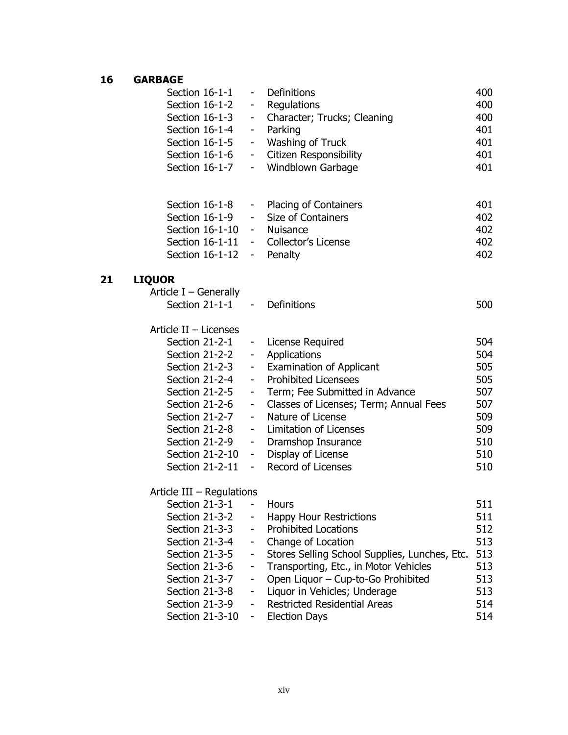# **16 GARBAGE**

|    | Section 16-1-1              |                | - Definitions                                 | 400 |
|----|-----------------------------|----------------|-----------------------------------------------|-----|
|    | Section 16-1-2              | ÷.             | Regulations                                   | 400 |
|    | Section 16-1-3              | $\sim 100$     | Character; Trucks; Cleaning                   | 400 |
|    | Section 16-1-4              | $\blacksquare$ | Parking                                       | 401 |
|    | Section 16-1-5              | $\sim 100$     | Washing of Truck                              | 401 |
|    | Section 16-1-6              |                | - Citizen Responsibility                      | 401 |
|    | Section 16-1-7              |                | - Windblown Garbage                           | 401 |
|    |                             |                |                                               |     |
|    | Section 16-1-8              |                | - Placing of Containers                       | 401 |
|    | Section 16-1-9              |                | - Size of Containers                          | 402 |
|    | Section 16-1-10 - Nuisance  |                |                                               | 402 |
|    | Section 16-1-11             |                | - Collector's License                         | 402 |
|    | Section 16-1-12             |                | - Penalty                                     | 402 |
| 21 | <b>LIQUOR</b>               |                |                                               |     |
|    | Article $I -$ Generally     |                |                                               |     |
|    | Section $21-1-1$ -          |                | Definitions                                   | 500 |
|    | Article II - Licenses       |                |                                               |     |
|    | Section 21-2-1              | $\blacksquare$ | License Required                              | 504 |
|    | Section 21-2-2              | ۳.             | Applications                                  | 504 |
|    | Section 21-2-3              | $\blacksquare$ | <b>Examination of Applicant</b>               | 505 |
|    | Section 21-2-4              | $\sim$         | <b>Prohibited Licensees</b>                   | 505 |
|    | Section 21-2-5              | $\sim$         | Term; Fee Submitted in Advance                | 507 |
|    | Section 21-2-6              | ۳.             | Classes of Licenses; Term; Annual Fees        | 507 |
|    | Section 21-2-7              | $\sim$         | Nature of License                             | 509 |
|    | Section 21-2-8              | $\sim$         | Limitation of Licenses                        | 509 |
|    | Section 21-2-9              | $\sim$         | Dramshop Insurance                            | 510 |
|    | Section 21-2-10             | $\sim$         | Display of License                            | 510 |
|    | Section 21-2-11             |                | - Record of Licenses                          | 510 |
|    | Article $III -$ Regulations |                |                                               |     |
|    | Section 21-3-1              |                | <b>Hours</b>                                  | 511 |
|    | Section 21-3-2              |                | Happy Hour Restrictions                       | 511 |
|    | Section 21-3-3              | -              | <b>Prohibited Locations</b>                   | 512 |
|    | Section 21-3-4              | Ξ.             | Change of Location                            | 513 |
|    | Section 21-3-5              | Ξ.             | Stores Selling School Supplies, Lunches, Etc. | 513 |
|    | Section 21-3-6              | -              | Transporting, Etc., in Motor Vehicles         | 513 |
|    | Section 21-3-7              | ۰.             | Open Liquor - Cup-to-Go Prohibited            | 513 |
|    | Section 21-3-8              | ۰.             | Liquor in Vehicles; Underage                  | 513 |

Section 21-3-9 - Restricted Residential Areas 514 Section 21-3-10 - Election Days 514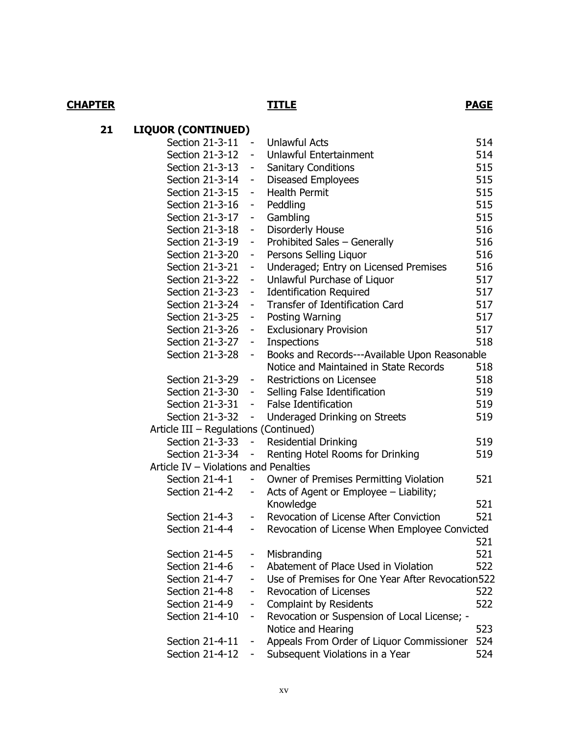# **21 LIQUOR (CONTINUED)**

|                                       | Section 21-3-11        | $\Box$                   | <b>Unlawful Acts</b>                             | 514 |
|---------------------------------------|------------------------|--------------------------|--------------------------------------------------|-----|
|                                       | Section 21-3-12 -      |                          | Unlawful Entertainment                           | 514 |
|                                       | Section 21-3-13        | $\blacksquare$           | <b>Sanitary Conditions</b>                       | 515 |
|                                       | Section 21-3-14        | ÷                        | <b>Diseased Employees</b>                        | 515 |
|                                       | Section 21-3-15        | $\overline{\phantom{0}}$ | <b>Health Permit</b>                             | 515 |
|                                       | Section 21-3-16        | $\overline{\phantom{0}}$ | Peddling                                         | 515 |
|                                       | Section 21-3-17        | $\overline{\phantom{0}}$ | Gambling                                         | 515 |
|                                       | Section 21-3-18        | ۰                        | <b>Disorderly House</b>                          | 516 |
|                                       | Section 21-3-19        | $\overline{\phantom{0}}$ | Prohibited Sales - Generally                     | 516 |
|                                       | Section 21-3-20        | $\blacksquare$           | Persons Selling Liquor                           | 516 |
|                                       | Section 21-3-21        | $\overline{\phantom{a}}$ | Underaged; Entry on Licensed Premises            | 516 |
|                                       | Section 21-3-22        | $\overline{\phantom{0}}$ | Unlawful Purchase of Liquor                      | 517 |
|                                       | Section 21-3-23        | -                        | <b>Identification Required</b>                   | 517 |
|                                       | Section 21-3-24        | ۰                        | Transfer of Identification Card                  | 517 |
|                                       | Section 21-3-25        | $\overline{\phantom{0}}$ | Posting Warning                                  | 517 |
|                                       | Section 21-3-26        | -                        | <b>Exclusionary Provision</b>                    | 517 |
|                                       | Section 21-3-27        | $\overline{\phantom{0}}$ | Inspections                                      | 518 |
|                                       | Section 21-3-28        | $\blacksquare$           | Books and Records---Available Upon Reasonable    |     |
|                                       |                        |                          | Notice and Maintained in State Records           | 518 |
|                                       | Section 21-3-29 -      |                          | Restrictions on Licensee                         | 518 |
|                                       |                        |                          | Section 21-3-30 - Selling False Identification   | 519 |
|                                       |                        |                          | Section 21-3-31 - False Identification           | 519 |
|                                       | Section 21-3-32        | $\sim 100$               | Underaged Drinking on Streets                    | 519 |
|                                       |                        |                          | Article III - Regulations (Continued)            |     |
|                                       | Section 21-3-33        |                          | <b>Residential Drinking</b>                      | 519 |
|                                       | Section 21-3-34        |                          | Renting Hotel Rooms for Drinking                 | 519 |
| Article IV - Violations and Penalties |                        |                          |                                                  |     |
|                                       | Section 21-4-1         | $\blacksquare$           | Owner of Premises Permitting Violation           | 521 |
|                                       | Section 21-4-2         | -                        | Acts of Agent or Employee - Liability;           |     |
|                                       |                        |                          | Knowledge                                        | 521 |
|                                       | Section 21-4-3         | $\sim 100$               | Revocation of License After Conviction           | 521 |
|                                       | Section 21-4-4         | $\sim 100$               | Revocation of License When Employee Convicted    |     |
|                                       |                        |                          |                                                  | 521 |
| Section 21-4-5                        |                        |                          | Misbranding                                      | 521 |
| Section 21-4-6                        |                        |                          | Abatement of Place Used in Violation             | 522 |
| Section 21-4-7                        |                        |                          | Use of Premises for One Year After Revocation522 |     |
| Section 21-4-8                        |                        |                          | <b>Revocation of Licenses</b>                    | 522 |
| Section 21-4-9                        |                        | ۰                        | <b>Complaint by Residents</b>                    | 522 |
|                                       | Section 21-4-10        | ۰                        | Revocation or Suspension of Local License; -     |     |
|                                       |                        |                          | Notice and Hearing                               | 523 |
|                                       | Section 21-4-11        | ۳                        | Appeals From Order of Liquor Commissioner        | 524 |
|                                       | <b>Section 21-4-12</b> | $\overline{\phantom{0}}$ | Subsequent Violations in a Year                  | 524 |
|                                       |                        |                          |                                                  |     |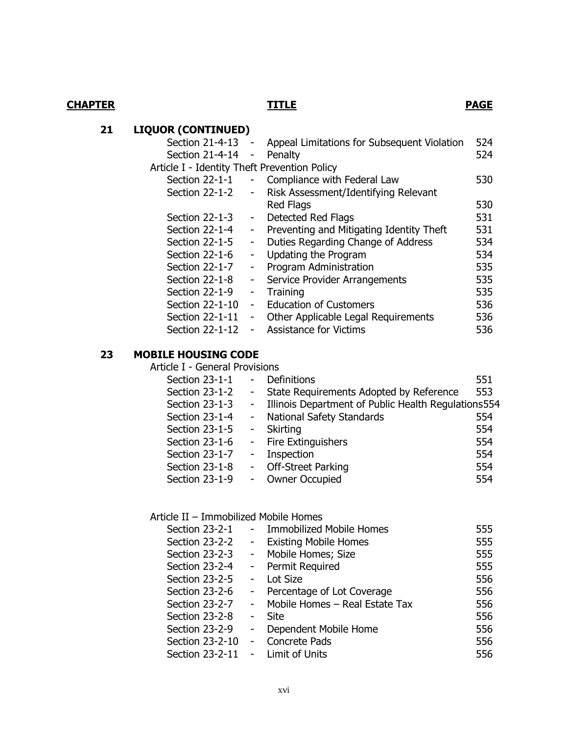# **21 LIQUOR (CONTINUED)**

| Section 21-4-13                              |                          | Appeal Limitations for Subsequent Violation | 524 |
|----------------------------------------------|--------------------------|---------------------------------------------|-----|
| Section 21-4-14                              | $\overline{\phantom{a}}$ | Penalty                                     | 524 |
| Article I - Identity Theft Prevention Policy |                          |                                             |     |
| Section 22-1-1                               |                          | Compliance with Federal Law                 | 530 |
| Section 22-1-2                               | ۰                        | Risk Assessment/Identifying Relevant        |     |
|                                              |                          | Red Flags                                   | 530 |
| <b>Section 22-1-3</b>                        | ۰                        | Detected Red Flags                          | 531 |
| Section 22-1-4                               | ۰                        | Preventing and Mitigating Identity Theft    | 531 |
| Section 22-1-5                               | ۰                        | Duties Regarding Change of Address          | 534 |
| Section 22-1-6                               |                          | Updating the Program                        | 534 |
| Section 22-1-7                               | ۰                        | Program Administration                      | 535 |
| Section 22-1-8                               | -                        | Service Provider Arrangements               | 535 |
| Section 22-1-9                               | -                        | <b>Training</b>                             | 535 |
| Section 22-1-10                              | $\overline{\phantom{a}}$ | <b>Education of Customers</b>               | 536 |
| Section 22-1-11                              | ۰                        | Other Applicable Legal Requirements         | 536 |
| Section 22-1-12                              |                          | <b>Assistance for Victims</b>               | 536 |

## **23 MOBILE HOUSING CODE**

Article I - General Provisions

| $\overline{\phantom{a}}$     | Definitions                      | 551                                                                                                                                                                             |
|------------------------------|----------------------------------|---------------------------------------------------------------------------------------------------------------------------------------------------------------------------------|
| $\sim 10$                    |                                  | 553                                                                                                                                                                             |
| $\sim 100$                   |                                  |                                                                                                                                                                                 |
| $\sim$                       | <b>National Safety Standards</b> | 554                                                                                                                                                                             |
| $\blacksquare$               |                                  | 554                                                                                                                                                                             |
| $\sim 100$                   |                                  | 554                                                                                                                                                                             |
| $\qquad \qquad \blacksquare$ | Inspection                       | 554                                                                                                                                                                             |
| $\overline{\phantom{a}}$     |                                  | 554                                                                                                                                                                             |
| $\overline{\phantom{a}}$     |                                  | 554                                                                                                                                                                             |
|                              |                                  | State Requirements Adopted by Reference<br>Illinois Department of Public Health Regulations554<br>Skirting<br>Fire Extinguishers<br>Off-Street Parking<br><b>Owner Occupied</b> |

#### Article II – Immobilized Mobile Homes

| Section 23-2-1        |                          | <b>Immobilized Mobile Homes</b> | 555 |
|-----------------------|--------------------------|---------------------------------|-----|
| Section 23-2-2        | $\overline{\phantom{a}}$ | <b>Existing Mobile Homes</b>    | 555 |
| <b>Section 23-2-3</b> | $\overline{\phantom{a}}$ | Mobile Homes; Size              | 555 |
| Section 23-2-4        | $\sim$                   | Permit Required                 | 555 |
| Section 23-2-5        | $\overline{\phantom{0}}$ | Lot Size                        | 556 |
| Section 23-2-6        | $\overline{\phantom{a}}$ | Percentage of Lot Coverage      | 556 |
| Section 23-2-7        | $\overline{\phantom{a}}$ | Mobile Homes - Real Estate Tax  | 556 |
| Section 23-2-8        |                          | <b>Site</b>                     | 556 |
| Section 23-2-9        | ۰                        | Dependent Mobile Home           | 556 |
| Section 23-2-10       | $\overline{\phantom{a}}$ | <b>Concrete Pads</b>            | 556 |
| Section 23-2-11       | $\overline{\phantom{a}}$ | Limit of Units                  | 556 |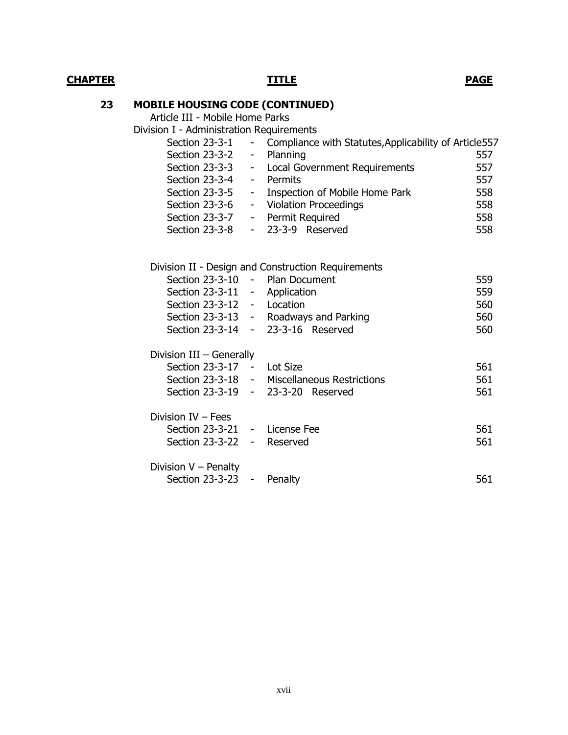# **23 MOBILE HOUSING CODE (CONTINUED)**

Article III - Mobile Home Parks

Division I - Administration Requirements

| Section 23-3-1 |                          | - Compliance with Statutes, Applicability of Article557 |     |
|----------------|--------------------------|---------------------------------------------------------|-----|
| Section 23-3-2 | $\sim 100$               | Planning                                                | 557 |
| Section 23-3-3 | $\sim 100$               | <b>Local Government Requirements</b>                    | 557 |
| Section 23-3-4 | $\overline{\phantom{a}}$ | Permits                                                 | 557 |
| Section 23-3-5 |                          | - Inspection of Mobile Home Park                        | 558 |
| Section 23-3-6 |                          | <b>Violation Proceedings</b>                            | 558 |
| Section 23-3-7 |                          | - Permit Required                                       | 558 |
| Section 23-3-8 |                          | - 23-3-9 Reserved                                       | 558 |
|                |                          |                                                         |     |

|  |  |  |  | Division II - Design and Construction Requirements |
|--|--|--|--|----------------------------------------------------|
|--|--|--|--|----------------------------------------------------|

| Section 23-3-10 - Plan Document |                                        | 559 |
|---------------------------------|----------------------------------------|-----|
| Section 23-3-11 - Application   |                                        | 559 |
| Section 23-3-12 - Location      |                                        | 560 |
|                                 | Section 23-3-13 - Roadways and Parking | 560 |
|                                 | Section 23-3-14 - 23-3-16 Reserved     | 560 |
|                                 |                                        |     |

| Division III - Generally   |                                              |     |
|----------------------------|----------------------------------------------|-----|
| Section 23-3-17 - Lot Size |                                              | 561 |
|                            | Section 23-3-18 - Miscellaneous Restrictions | 561 |
|                            | Section 23-3-19 - 23-3-20 Reserved           | 561 |

| Division $IV - Fees$          |  |     |
|-------------------------------|--|-----|
| Section 23-3-21 - License Fee |  | 561 |
| Section 23-3-22 - Reserved    |  | 561 |
|                               |  |     |

| Division V - Penalty      |  |     |  |
|---------------------------|--|-----|--|
| Section 23-3-23 - Penalty |  | 561 |  |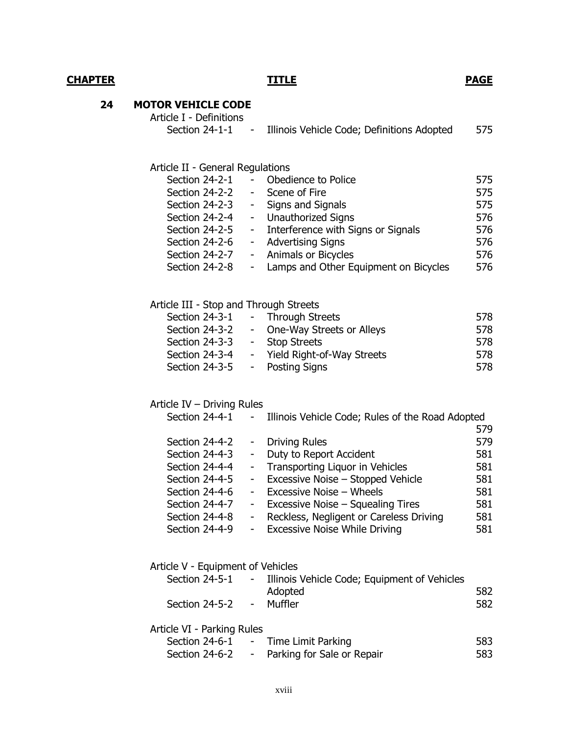| 24 | <b>MOTOR VEHICLE CODE</b><br>Article I - Definitions |                          |                                                  |     |
|----|------------------------------------------------------|--------------------------|--------------------------------------------------|-----|
|    | Section $24-1-1$ -                                   |                          | Illinois Vehicle Code; Definitions Adopted       | 575 |
|    | Article II - General Regulations                     |                          |                                                  |     |
|    | Section 24-2-1                                       |                          | - Obedience to Police                            | 575 |
|    | Section 24-2-2                                       |                          | Scene of Fire                                    | 575 |
|    | Section 24-2-3                                       |                          | - Signs and Signals                              | 575 |
|    | Section 24-2-4                                       |                          | - Unauthorized Signs                             | 576 |
|    | Section 24-2-5                                       | $\sigma_{\rm{max}}$      | Interference with Signs or Signals               | 576 |
|    | Section 24-2-6                                       | $\sim 100$               | <b>Advertising Signs</b>                         | 576 |
|    | Section 24-2-7                                       | $\sim 100$               | Animals or Bicycles                              | 576 |
|    | Section 24-2-8                                       |                          | - Lamps and Other Equipment on Bicycles          | 576 |
|    | Article III - Stop and Through Streets               |                          |                                                  |     |
|    | Section 24-3-1                                       |                          | - Through Streets                                | 578 |
|    | Section 24-3-2                                       |                          | - One-Way Streets or Alleys                      | 578 |
|    | Section 24-3-3                                       |                          | - Stop Streets                                   | 578 |
|    | Section 24-3-4                                       |                          | - Yield Right-of-Way Streets                     | 578 |
|    | Section 24-3-5                                       | $\sim 100$               | <b>Posting Signs</b>                             | 578 |
|    | Article IV - Driving Rules                           |                          |                                                  |     |
|    | Section $24-4-1$ -                                   |                          | Illinois Vehicle Code; Rules of the Road Adopted |     |
|    |                                                      |                          |                                                  | 579 |
|    | Section 24-4-2                                       | $\sim 100$               | <b>Driving Rules</b>                             | 579 |
|    | Section 24-4-3                                       | - 1                      | Duty to Report Accident                          | 581 |
|    | Section 24-4-4                                       | $\sim 100$               | Transporting Liquor in Vehicles                  | 581 |
|    | Section 24-4-5                                       | $\sim$                   | Excessive Noise - Stopped Vehicle                | 581 |
|    | Section 24-4-6                                       | $\overline{\phantom{a}}$ | Excessive Noise - Wheels                         | 581 |
|    | Section 24-4-7                                       | $\overline{\phantom{a}}$ | Excessive Noise – Squealing Tires                | 581 |
|    | Section 24-4-8                                       |                          | Reckless, Negligent or Careless Driving          | 581 |
|    | Section 24-4-9                                       |                          | <b>Excessive Noise While Driving</b>             | 581 |
|    | Article V - Equipment of Vehicles                    |                          |                                                  |     |
|    | Section 24-5-1                                       |                          | Illinois Vehicle Code; Equipment of Vehicles     |     |
|    |                                                      |                          | Adopted                                          | 582 |
|    | Section 24-5-2                                       | -                        | Muffler                                          | 582 |
|    | Article VI - Parking Rules                           |                          |                                                  |     |
|    | Section 24-6-1                                       |                          | Time Limit Parking                               | 583 |
|    | Section 24-6-2                                       |                          | Parking for Sale or Repair                       | 583 |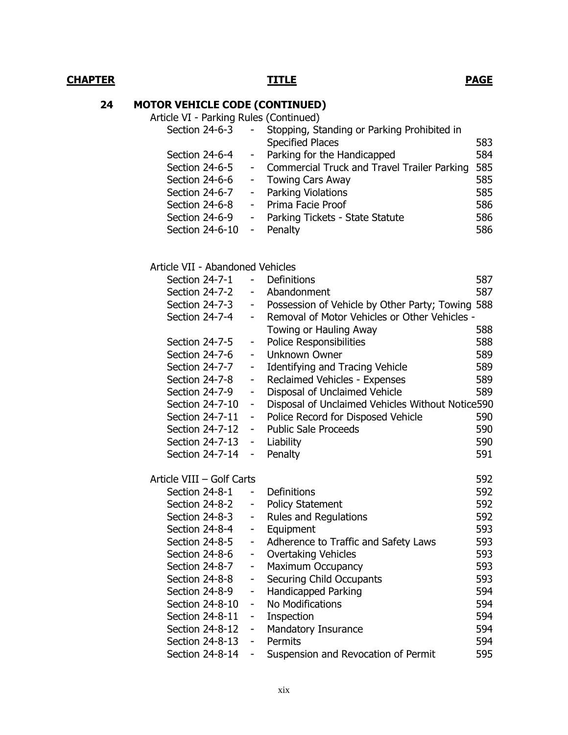#### **24 MOTOR VEHICLE CODE (CONTINUED)**

Article VI - Parking Rules (Continued)

|                 |                              | $\frac{1}{2}$ and $\frac{1}{2}$ and $\frac{1}{2}$ and $\frac{1}{2}$ and $\frac{1}{2}$ and $\frac{1}{2}$ are $\frac{1}{2}$ |     |
|-----------------|------------------------------|---------------------------------------------------------------------------------------------------------------------------|-----|
| Section 24-6-3  | $\sim 10^{-1}$               | Stopping, Standing or Parking Prohibited in                                                                               |     |
|                 |                              | <b>Specified Places</b>                                                                                                   | 583 |
| Section 24-6-4  | $\sigma_{\rm{max}}$          | Parking for the Handicapped                                                                                               | 584 |
| Section 24-6-5  | $\qquad \qquad \blacksquare$ | <b>Commercial Truck and Travel Trailer Parking</b>                                                                        | 585 |
| Section 24-6-6  |                              | <b>Towing Cars Away</b>                                                                                                   | 585 |
| Section 24-6-7  | $\sim$                       | Parking Violations                                                                                                        | 585 |
| Section 24-6-8  | $\overline{\phantom{a}}$     | Prima Facie Proof                                                                                                         | 586 |
| Section 24-6-9  | $\blacksquare$               | Parking Tickets - State Statute                                                                                           | 586 |
| Section 24-6-10 | $\overline{\phantom{a}}$     | Penalty                                                                                                                   | 586 |
|                 |                              |                                                                                                                           |     |

Article VII - Abandoned Vehicles

| Section 24-7-1                     | ÷,                           | Definitions                                      | 587        |
|------------------------------------|------------------------------|--------------------------------------------------|------------|
| Section 24-7-2                     |                              | Abandonment                                      | 587        |
| Section 24-7-3                     | $\overline{\phantom{0}}$     | Possession of Vehicle by Other Party; Towing 588 |            |
| Section 24-7-4                     | $\overline{\phantom{0}}$     | Removal of Motor Vehicles or Other Vehicles -    |            |
|                                    |                              | Towing or Hauling Away                           | 588        |
| Section 24-7-5                     | $\qquad \qquad \blacksquare$ | <b>Police Responsibilities</b>                   | 588        |
| Section 24-7-6                     | $\overline{\phantom{0}}$     | <b>Unknown Owner</b>                             | 589        |
| Section 24-7-7                     | ÷                            | <b>Identifying and Tracing Vehicle</b>           | 589        |
| Section 24-7-8                     | $\overline{\phantom{a}}$     | Reclaimed Vehicles - Expenses                    | 589        |
| Section 24-7-9                     | -                            | Disposal of Unclaimed Vehicle                    | 589        |
| Section 24-7-10                    | $\overline{\phantom{0}}$     | Disposal of Unclaimed Vehicles Without Notice590 |            |
| Section 24-7-11                    | $\blacksquare$               | Police Record for Disposed Vehicle               | 590        |
| Section 24-7-12                    | $\overline{\phantom{m}}$     | <b>Public Sale Proceeds</b>                      | 590        |
| Section 24-7-13                    | $\overline{\phantom{a}}$     | Liability                                        | 590        |
| Section 24-7-14                    | $\qquad \qquad \blacksquare$ | Penalty                                          | 591        |
|                                    |                              |                                                  |            |
| Article VIII – Golf Carts          |                              |                                                  | 592        |
| Section 24-8-1                     | -                            | Definitions                                      | 592        |
| Section 24-8-2                     | $\overline{\phantom{0}}$     | <b>Policy Statement</b>                          | 592        |
| Section 24-8-3                     | $\overline{\phantom{0}}$     | Rules and Regulations                            | 592        |
| Section 24-8-4                     | -                            | Equipment                                        | 593        |
| Section 24-8-5                     | $\overline{\phantom{0}}$     | Adherence to Traffic and Safety Laws             | 593        |
| Section 24-8-6                     | -                            | <b>Overtaking Vehicles</b>                       | 593        |
| Section 24-8-7                     | $\overline{\phantom{a}}$     | Maximum Occupancy                                | 593        |
| Section 24-8-8                     | -                            | <b>Securing Child Occupants</b>                  | 593        |
| Section 24-8-9                     | $\overline{\phantom{0}}$     | <b>Handicapped Parking</b>                       | 594        |
| Section 24-8-10                    | $\overline{\phantom{0}}$     | No Modifications                                 | 594        |
| Section 24-8-11                    | -                            | Inspection                                       | 594        |
| Section 24-8-12                    | $\overline{\phantom{0}}$     | Mandatory Insurance                              | 594        |
| Section 24-8-13<br>Section 24-8-14 | $\overline{\phantom{0}}$     | Permits                                          | 594<br>595 |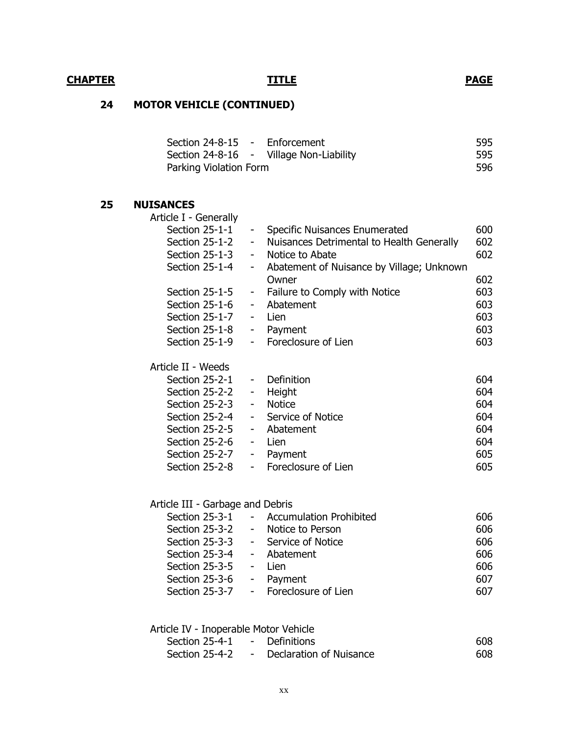## **24 MOTOR VEHICLE (CONTINUED)**

| Section 24-8-15 - Enforcement |                                         | 595 |
|-------------------------------|-----------------------------------------|-----|
|                               | Section 24-8-16 - Village Non-Liability | 595 |
| Parking Violation Form        |                                         | 596 |

#### **25 NUISANCES**

| Article I - Generally |                          |                                             |     |
|-----------------------|--------------------------|---------------------------------------------|-----|
| Section 25-1-1        | $\sim$                   | Specific Nuisances Enumerated               | 600 |
| Section 25-1-2        | $\sim$                   | Nuisances Detrimental to Health Generally   | 602 |
| Section 25-1-3        | $\blacksquare$           | Notice to Abate                             | 602 |
| Section 25-1-4        |                          | - Abatement of Nuisance by Village; Unknown |     |
|                       |                          | Owner                                       | 602 |
| <b>Section 25-1-5</b> |                          | - Failure to Comply with Notice             | 603 |
| Section 25-1-6        | $\sim$                   | Abatement                                   | 603 |
| Section 25-1-7        |                          | Lien                                        | 603 |
| Section 25-1-8        | -                        | Payment                                     | 603 |
| <b>Section 25-1-9</b> | $\overline{\phantom{a}}$ | Foreclosure of Lien                         | 603 |
| Article II - Weeds    |                          |                                             |     |

| Section $25-2-1$ - |                | Definition            | 604 |
|--------------------|----------------|-----------------------|-----|
| Section 25-2-2 -   |                | Height                | 604 |
| Section 25-2-3     | $\blacksquare$ | <b>Notice</b>         | 604 |
| Section 25-2-4     |                | - Service of Notice   | 604 |
| Section 25-2-5     |                | - Abatement           | 604 |
| Section 25-2-6     | $\blacksquare$ | Lien                  | 604 |
| Section 25-2-7     | $\sim 100$     | Payment               | 605 |
| Section 25-2-8     |                | - Foreclosure of Lien | 605 |
|                    |                |                       |     |

### Article III - Garbage and Debris

| Section 25-3-1             | - Accumulation Prohibited            | 606 |
|----------------------------|--------------------------------------|-----|
| Section 25-3-2             | - Notice to Person                   | 606 |
| Section 25-3-3             | - Service of Notice                  | 606 |
| Section 25-3-4 - Abatement |                                      | 606 |
| Section 25-3-5             | - Lien                               | 606 |
| Section 25-3-6 - Payment   |                                      | 607 |
|                            | Section 25-3-7 - Foreclosure of Lien | 607 |
|                            |                                      |     |

| Article IV - Inoperable Motor Vehicle |     |
|---------------------------------------|-----|
| Section 25-4-1 - Definitions          | 608 |
|                                       |     |

| Section 25-4-1 | - Definitions             | 608 |
|----------------|---------------------------|-----|
| Section 25-4-2 | - Declaration of Nuisance | 608 |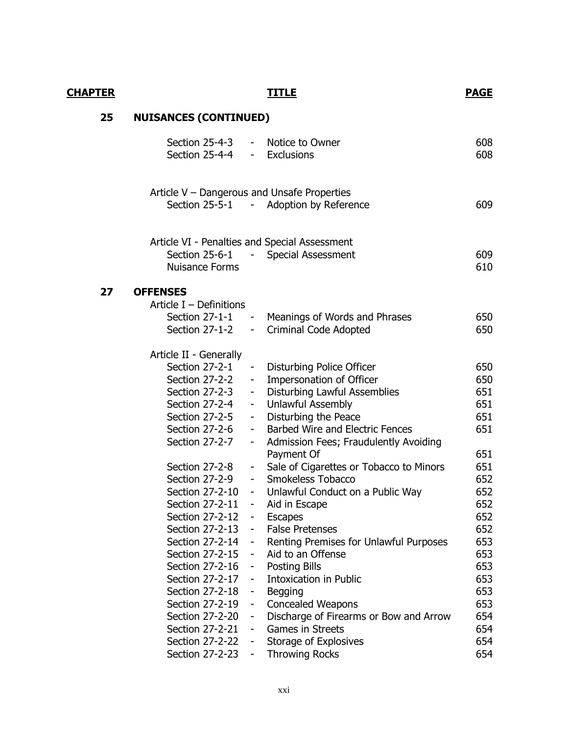# **25 NUISANCES (CONTINUED)**

|    | Section 25-4-3<br>Section 25-4-4                                                         | $\sim$ 10 $\pm$<br>$\sim 100$ | Notice to Owner<br>Exclusions                                 | 608<br>608 |
|----|------------------------------------------------------------------------------------------|-------------------------------|---------------------------------------------------------------|------------|
|    | Article V – Dangerous and Unsafe Properties                                              |                               | Section 25-5-1 - Adoption by Reference                        | 609        |
|    | Article VI - Penalties and Special Assessment<br>Section 25-6-1<br><b>Nuisance Forms</b> |                               | - Special Assessment                                          | 609<br>610 |
| 27 | <b>OFFENSES</b><br>Article $I -$ Definitions                                             |                               |                                                               |            |
|    | Section 27-1-1<br>Section 27-1-2                                                         | $\sim$ $-$<br>۰.              | Meanings of Words and Phrases<br><b>Criminal Code Adopted</b> | 650<br>650 |
|    | Article II - Generally                                                                   |                               |                                                               |            |
|    | Section 27-2-1                                                                           | $\overline{\phantom{a}}$      | Disturbing Police Officer                                     | 650        |
|    | Section 27-2-2                                                                           | $\blacksquare$                | Impersonation of Officer                                      | 650        |
|    | Section 27-2-3                                                                           | ۰.                            | <b>Disturbing Lawful Assemblies</b>                           | 651        |
|    | Section 27-2-4                                                                           | $\blacksquare$                | Unlawful Assembly                                             | 651        |
|    | Section 27-2-5                                                                           | $\blacksquare$                | Disturbing the Peace                                          | 651        |
|    | Section 27-2-6                                                                           | ۰                             | <b>Barbed Wire and Electric Fences</b>                        | 651        |
|    | Section 27-2-7                                                                           | ۰.                            | Admission Fees; Fraudulently Avoiding                         |            |
|    |                                                                                          |                               | Payment Of                                                    | 651        |
|    | Section 27-2-8                                                                           | $\blacksquare$                | Sale of Cigarettes or Tobacco to Minors                       | 651        |
|    | Section 27-2-9                                                                           |                               | Smokeless Tobacco                                             | 652        |
|    | Section 27-2-10                                                                          | $\blacksquare$                | Unlawful Conduct on a Public Way                              | 652        |
|    | Section 27-2-11                                                                          | $\blacksquare$                | Aid in Escape                                                 | 652        |
|    | Section 27-2-12                                                                          | $\blacksquare$                | <b>Escapes</b>                                                | 652        |
|    | Section 27-2-13                                                                          | $\sim$ $-$                    | <b>False Pretenses</b>                                        | 652        |
|    | Section 27-2-14                                                                          | $\blacksquare$                | Renting Premises for Unlawful Purposes                        | 653        |
|    | Section 27-2-15                                                                          |                               | Aid to an Offense                                             | 653        |
|    | Section 27-2-16                                                                          | ۰.                            | <b>Posting Bills</b>                                          | 653        |
|    | Section 27-2-17                                                                          | ۰                             | <b>Intoxication in Public</b>                                 | 653        |
|    | Section 27-2-18                                                                          | -                             | <b>Begging</b>                                                | 653        |
|    | Section 27-2-19                                                                          | ۰.                            | <b>Concealed Weapons</b>                                      | 653        |
|    | Section 27-2-20                                                                          | $\blacksquare$                | Discharge of Firearms or Bow and Arrow                        | 654        |
|    | Section 27-2-21                                                                          | $\overline{\phantom{a}}$      | Games in Streets                                              | 654        |
|    | Section 27-2-22                                                                          | $\blacksquare$                | Storage of Explosives                                         | 654        |
|    | Section 27-2-23                                                                          | $\blacksquare$                | <b>Throwing Rocks</b>                                         | 654        |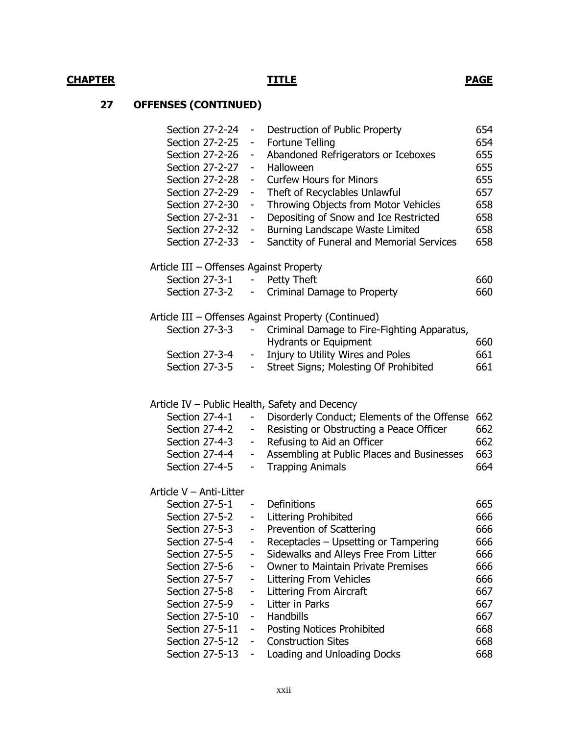# **27 OFFENSES (CONTINUED)**

|                | Section 27-2-24                    | $\overline{\phantom{0}}$ | Destruction of Public Property                           | 654        |
|----------------|------------------------------------|--------------------------|----------------------------------------------------------|------------|
|                | Section 27-2-25                    | -                        | <b>Fortune Telling</b>                                   | 654        |
|                | Section 27-2-26                    | -                        | Abandoned Refrigerators or Iceboxes                      | 655        |
|                | Section 27-2-27                    | $\blacksquare$           | Halloween                                                | 655        |
|                | Section 27-2-28                    | $\overline{\phantom{0}}$ | <b>Curfew Hours for Minors</b>                           | 655        |
|                | Section 27-2-29                    | -                        | Theft of Recyclables Unlawful                            | 657        |
|                | Section 27-2-30                    | -                        | Throwing Objects from Motor Vehicles                     | 658        |
|                | Section 27-2-31                    | -                        | Depositing of Snow and Ice Restricted                    | 658        |
|                | Section 27-2-32                    | -                        | Burning Landscape Waste Limited                          | 658        |
|                | Section 27-2-33                    | -                        | Sanctity of Funeral and Memorial Services                | 658        |
|                |                                    |                          | Article III – Offenses Against Property                  |            |
|                | Section 27-3-1                     | $\sim$                   | Petty Theft                                              | 660        |
|                | Section 27-3-2                     | $\sim$                   | Criminal Damage to Property                              | 660        |
|                |                                    |                          | Article III – Offenses Against Property (Continued)      |            |
|                | Section 27-3-3                     | $\sim$                   | Criminal Damage to Fire-Fighting Apparatus,              |            |
|                |                                    |                          | <b>Hydrants or Equipment</b>                             | 660        |
|                | Section 27-3-4                     | $\sim$                   | Injury to Utility Wires and Poles                        | 661        |
|                | Section 27-3-5                     | ۰.                       | Street Signs; Molesting Of Prohibited                    | 661        |
|                |                                    |                          |                                                          |            |
|                |                                    |                          | Article IV – Public Health, Safety and Decency           |            |
| Section 27-4-1 |                                    | $\overline{\phantom{0}}$ | Disorderly Conduct; Elements of the Offense              | 662        |
|                | Section 27-4-2                     | $\overline{\phantom{0}}$ | Resisting or Obstructing a Peace Officer                 | 662        |
|                | Section 27-4-3                     | -                        | Refusing to Aid an Officer                               | 662        |
|                | Section 27-4-4                     | -                        | Assembling at Public Places and Businesses               | 663        |
| Section 27-4-5 |                                    | ۰                        | <b>Trapping Animals</b>                                  | 664        |
|                | Article V – Anti-Litter            |                          |                                                          |            |
| Section 27-5-1 |                                    | -                        | Definitions                                              | 665        |
|                | Section 27-5-2                     |                          | - Littering Prohibited                                   | 666        |
| Section 27-5-3 |                                    | $\sim$                   | Prevention of Scattering                                 | 666        |
| Section 27-5-4 |                                    |                          | Receptacles - Upsetting or Tampering                     | 666        |
|                |                                    |                          |                                                          |            |
|                | <b>Section 27-5-5</b>              | ۰                        | Sidewalks and Alleys Free From Litter                    | 666        |
| Section 27-5-6 |                                    | ۰                        | Owner to Maintain Private Premises                       | 666        |
| Section 27-5-7 |                                    | $\overline{\phantom{0}}$ | Littering From Vehicles                                  | 666        |
| Section 27-5-8 |                                    |                          | Littering From Aircraft                                  | 667        |
| Section 27-5-9 |                                    | ۰                        | Litter in Parks                                          | 667        |
|                | Section 27-5-10                    | ۰                        | Handbills                                                | 667        |
|                | Section 27-5-11                    | -                        | Posting Notices Prohibited                               | 668        |
|                | Section 27-5-12<br>Section 27-5-13 | $\overline{\phantom{0}}$ | <b>Construction Sites</b><br>Loading and Unloading Docks | 668<br>668 |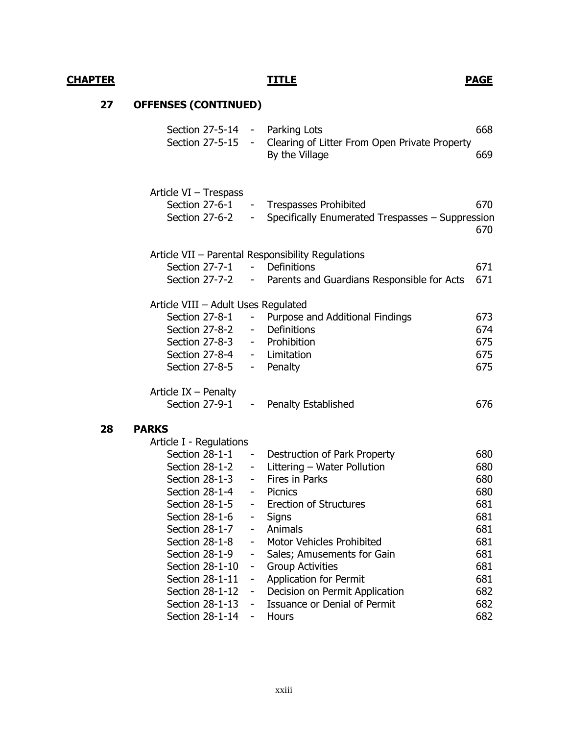## **27 OFFENSES (CONTINUED)**

|    | Section 27-5-14 - Parking Lots      |                          | Section 27-5-15 - Clearing of Litter From Open Private Property<br>By the Village            | 668<br>669 |
|----|-------------------------------------|--------------------------|----------------------------------------------------------------------------------------------|------------|
|    |                                     |                          |                                                                                              |            |
|    | Article $VI$ – Trespass             |                          |                                                                                              |            |
|    | Section 27-6-2                      |                          | Section 27-6-1 - Trespasses Prohibited<br>- Specifically Enumerated Trespasses - Suppression | 670        |
|    |                                     |                          |                                                                                              | 670        |
|    |                                     |                          | Article VII - Parental Responsibility Regulations                                            |            |
|    | Section $27-7-1$ -                  |                          | Definitions                                                                                  | 671        |
|    |                                     |                          | Section 27-7-2 - Parents and Guardians Responsible for Acts                                  | 671        |
|    | Article VIII - Adult Uses Regulated |                          |                                                                                              |            |
|    |                                     |                          | Section 27-8-1 - Purpose and Additional Findings                                             | 673        |
|    | Section 27-8-2                      | $\sim$                   | Definitions                                                                                  | 674        |
|    | Section 27-8-3 - Prohibition        |                          |                                                                                              | 675        |
|    | Section 27-8-4 - Limitation         |                          |                                                                                              | 675        |
|    | Section 27-8-5 - Penalty            |                          |                                                                                              | 675        |
|    | Article $IX$ – Penalty              |                          |                                                                                              |            |
|    |                                     |                          | Section 27-9-1 - Penalty Established                                                         | 676        |
| 28 | <b>PARKS</b>                        |                          |                                                                                              |            |
|    | Article I - Regulations             |                          |                                                                                              |            |
|    | Section 28-1-1                      | $\sim$                   | Destruction of Park Property                                                                 | 680        |
|    | Section 28-1-2                      |                          | - Littering - Water Pollution                                                                | 680        |
|    | Section 28-1-3                      | $\sim 10$                | Fires in Parks                                                                               | 680        |
|    | Section 28-1-4<br>Section 28-1-5    | $\sim$                   | Picnics<br><b>Erection of Structures</b>                                                     | 680<br>681 |
|    | Section 28-1-6                      | $\sim$<br>$\sim$         | Signs                                                                                        | 681        |
|    | Section 28-1-7                      | $\sim 10$                | Animals                                                                                      | 681        |
|    | Section 28-1-8                      |                          | Motor Vehicles Prohibited                                                                    | 681        |
|    | Section 28-1-9                      |                          | Sales; Amusements for Gain                                                                   | 681        |
|    | Section 28-1-10                     | ۰.                       | <b>Group Activities</b>                                                                      | 681        |
|    | Section 28-1-11                     | $\overline{\phantom{0}}$ | <b>Application for Permit</b>                                                                | 681        |
|    | Section 28-1-12                     | -                        | Decision on Permit Application                                                               | 682        |
|    | Section 28-1-13                     | -                        | <b>Issuance or Denial of Permit</b>                                                          | 682        |
|    | Section 28-1-14                     | ۰                        | Hours                                                                                        | 682        |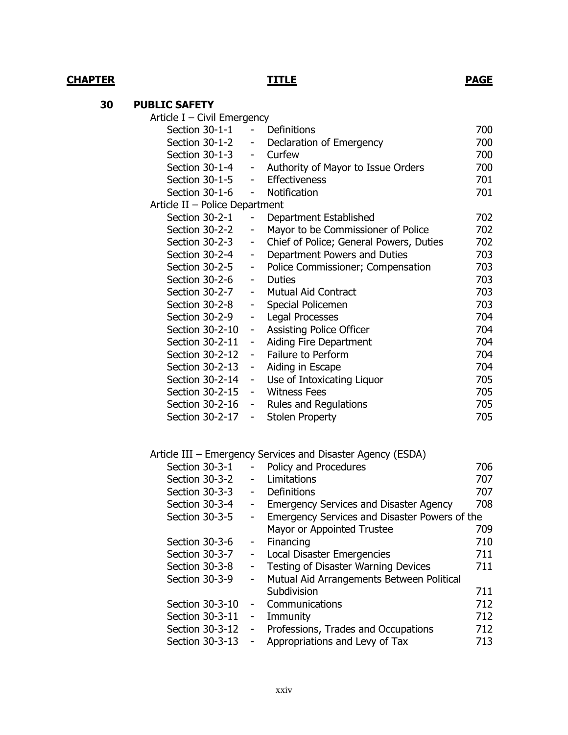### **30 PUBLIC SAFETY**

| Article I – Civil Emergency    |                              |                                         |     |
|--------------------------------|------------------------------|-----------------------------------------|-----|
| Section 30-1-1                 |                              | Definitions                             | 700 |
| Section 30-1-2 -               |                              | Declaration of Emergency                | 700 |
| Section 30-1-3                 | $\blacksquare$               | Curfew                                  | 700 |
| Section 30-1-4 -               |                              | Authority of Mayor to Issue Orders      | 700 |
| Section 30-1-5 - Effectiveness |                              |                                         | 701 |
| Section $30-1-6$ -             |                              | Notification                            | 701 |
| Article II - Police Department |                              |                                         |     |
| Section 30-2-1                 | $\qquad \qquad \blacksquare$ | Department Established                  | 702 |
| Section 30-2-2                 | $\overline{\phantom{a}}$     | Mayor to be Commissioner of Police      | 702 |
| Section 30-2-3                 | $\overline{\phantom{a}}$     | Chief of Police; General Powers, Duties | 702 |
| Section 30-2-4                 | ۰                            | Department Powers and Duties            | 703 |
| Section 30-2-5                 | $\overline{\phantom{a}}$     | Police Commissioner; Compensation       | 703 |
| Section 30-2-6                 | $\overline{\phantom{a}}$     | <b>Duties</b>                           | 703 |
| Section 30-2-7                 | $\overline{\phantom{a}}$     | <b>Mutual Aid Contract</b>              | 703 |
| Section 30-2-8                 | $\qquad \qquad \blacksquare$ | Special Policemen                       | 703 |
| Section 30-2-9                 | $\qquad \qquad \blacksquare$ | <b>Legal Processes</b>                  | 704 |
| Section 30-2-10                | $\overline{\phantom{a}}$     | <b>Assisting Police Officer</b>         | 704 |
| Section 30-2-11                | ÷                            | Aiding Fire Department                  | 704 |
| Section 30-2-12                | $\overline{\phantom{a}}$     | <b>Failure to Perform</b>               | 704 |
| Section 30-2-13                | $\qquad \qquad \blacksquare$ | Aiding in Escape                        | 704 |
| Section 30-2-14                | $\qquad \qquad \blacksquare$ | Use of Intoxicating Liquor              | 705 |
| Section 30-2-15 -              |                              | <b>Witness Fees</b>                     | 705 |
| Section $30-2-16$ -            |                              | <b>Rules and Regulations</b>            | 705 |
| Section 30-2-17                | $\overline{\phantom{a}}$     | <b>Stolen Property</b>                  | 705 |
|                                |                              |                                         |     |

Article III – Emergency Services and Disaster Agency (ESDA)

| Section 30-3-1  |                              | Policy and Procedures                         | 706 |
|-----------------|------------------------------|-----------------------------------------------|-----|
| Section 30-3-2  | $\overline{\phantom{0}}$     | Limitations                                   | 707 |
| Section 30-3-3  | -                            | Definitions                                   | 707 |
| Section 30-3-4  | $\overline{\phantom{0}}$     | <b>Emergency Services and Disaster Agency</b> | 708 |
| Section 30-3-5  | $\overline{\phantom{0}}$     | Emergency Services and Disaster Powers of the |     |
|                 |                              | Mayor or Appointed Trustee                    | 709 |
| Section 30-3-6  | $\overline{\phantom{a}}$     | Financing                                     | 710 |
| Section 30-3-7  | $\qquad \qquad \blacksquare$ | Local Disaster Emergencies                    | 711 |
| Section 30-3-8  | $\overline{\phantom{a}}$     | <b>Testing of Disaster Warning Devices</b>    | 711 |
| Section 30-3-9  | $\overline{\phantom{0}}$     | Mutual Aid Arrangements Between Political     |     |
|                 |                              | Subdivision                                   | 711 |
| Section 30-3-10 | -                            | Communications                                | 712 |
| Section 30-3-11 | ۰                            | Immunity                                      | 712 |
| Section 30-3-12 | $\qquad \qquad \blacksquare$ | Professions, Trades and Occupations           | 712 |
| Section 30-3-13 | -                            | Appropriations and Levy of Tax                | 713 |
|                 |                              |                                               |     |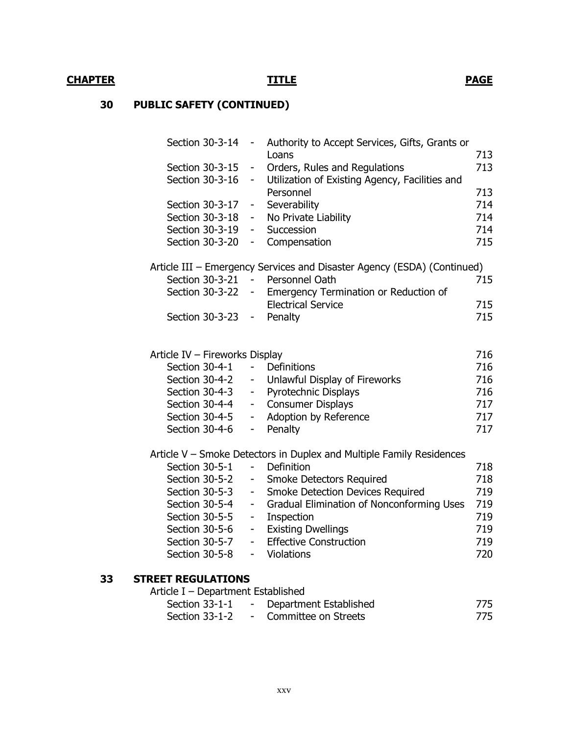# **30 PUBLIC SAFETY (CONTINUED)**

|    | Section 30-3-14                    | $\overline{\phantom{a}}$ | Authority to Accept Services, Gifts, Grants or                          |     |
|----|------------------------------------|--------------------------|-------------------------------------------------------------------------|-----|
|    |                                    |                          | Loans                                                                   | 713 |
|    | Section 30-3-15                    | $\overline{\phantom{a}}$ | Orders, Rules and Regulations                                           | 713 |
|    | Section 30-3-16                    | ۰.                       | Utilization of Existing Agency, Facilities and<br>Personnel             |     |
|    | Section 30-3-17                    |                          |                                                                         | 713 |
|    |                                    | $\blacksquare$           | Severability                                                            | 714 |
|    | Section 30-3-18                    | $\blacksquare$           | No Private Liability                                                    | 714 |
|    | Section 30-3-19                    | $\sim$                   | Succession                                                              | 714 |
|    | Section 30-3-20                    |                          | - Compensation                                                          | 715 |
|    |                                    |                          | Article III – Emergency Services and Disaster Agency (ESDA) (Continued) |     |
|    | Section 30-3-21 -                  |                          | Personnel Oath                                                          | 715 |
|    | Section 30-3-22                    | $\sim$ $ \sim$           | Emergency Termination or Reduction of                                   |     |
|    |                                    |                          | <b>Electrical Service</b>                                               | 715 |
|    | Section 30-3-23 -                  |                          | Penalty                                                                 | 715 |
|    |                                    |                          |                                                                         | 716 |
|    | Article IV - Fireworks Display     | $\sim 10$                |                                                                         |     |
|    | Section 30-4-1                     |                          | Definitions                                                             | 716 |
|    | Section 30-4-2                     |                          | - Unlawful Display of Fireworks                                         | 716 |
|    | Section 30-4-3                     | $\sim$                   | Pyrotechnic Displays                                                    | 716 |
|    | Section 30-4-4                     | $\sim$                   | <b>Consumer Displays</b>                                                | 717 |
|    | Section 30-4-5                     | ۰.                       | Adoption by Reference                                                   | 717 |
|    | Section 30-4-6                     | Ξ.                       | Penalty                                                                 | 717 |
|    |                                    |                          | Article V - Smoke Detectors in Duplex and Multiple Family Residences    |     |
|    | Section 30-5-1                     | $\sim$                   | Definition                                                              | 718 |
|    | Section 30-5-2                     | $\sim$                   | Smoke Detectors Required                                                | 718 |
|    | Section 30-5-3                     | ۰.                       | <b>Smoke Detection Devices Required</b>                                 | 719 |
|    | Section 30-5-4                     | ۰.                       | <b>Gradual Elimination of Nonconforming Uses</b>                        | 719 |
|    | Section 30-5-5                     | ۰,                       | Inspection                                                              | 719 |
|    | Section 30-5-6                     | $\equiv$                 | <b>Existing Dwellings</b>                                               | 719 |
|    | Section 30-5-7                     | ۰,                       | <b>Effective Construction</b>                                           | 719 |
|    | Section 30-5-8                     |                          | Violations                                                              | 720 |
| 33 | <b>STREET REGULATIONS</b>          |                          |                                                                         |     |
|    | Article I - Department Established |                          |                                                                         |     |
|    | Section 33-1-1                     |                          | Department Established                                                  | 775 |
|    | Section 33-1-2                     |                          | Committee on Streets                                                    | 775 |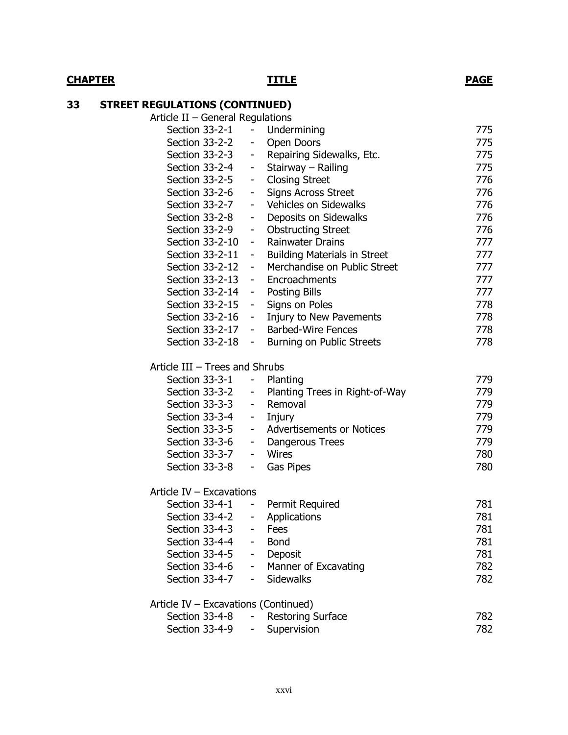## **33 STREET REGULATIONS (CONTINUED)**

Article II – General Regulations

|                                      | oonorum regulationo          |                                     |     |
|--------------------------------------|------------------------------|-------------------------------------|-----|
| Section 33-2-1                       |                              | - Undermining                       | 775 |
| Section 33-2-2                       | $\qquad \qquad \blacksquare$ | Open Doors                          | 775 |
| Section 33-2-3                       | $\qquad \qquad \blacksquare$ | Repairing Sidewalks, Etc.           | 775 |
| Section 33-2-4                       | $\blacksquare$               | Stairway - Railing                  | 775 |
| Section 33-2-5                       | $\frac{1}{2}$                | <b>Closing Street</b>               | 776 |
| Section 33-2-6                       | ۰                            | <b>Signs Across Street</b>          | 776 |
| Section 33-2-7                       | ۰                            | Vehicles on Sidewalks               | 776 |
| Section 33-2-8                       | ۰                            | Deposits on Sidewalks               | 776 |
| Section 33-2-9                       | $\overline{\phantom{a}}$     | <b>Obstructing Street</b>           | 776 |
| Section 33-2-10                      | $\overline{\phantom{a}}$     | <b>Rainwater Drains</b>             | 777 |
| Section 33-2-11 -                    |                              | <b>Building Materials in Street</b> | 777 |
| Section 33-2-12                      | $\overline{\phantom{a}}$     | Merchandise on Public Street        | 777 |
| Section 33-2-13                      | $\overline{\phantom{a}}$     | Encroachments                       | 777 |
| Section 33-2-14                      | $\blacksquare$               | <b>Posting Bills</b>                | 777 |
| Section 33-2-15                      | $\overline{\phantom{a}}$     | Signs on Poles                      | 778 |
| Section 33-2-16                      | $\sim 10^{-1}$               | Injury to New Pavements             | 778 |
| Section 33-2-17 -                    |                              | <b>Barbed-Wire Fences</b>           | 778 |
| Section 33-2-18                      | $\blacksquare$               | <b>Burning on Public Streets</b>    | 778 |
| Article III – Trees and Shrubs       |                              |                                     |     |
| Section 33-3-1                       | $\sim 10^{-1}$               | Planting                            | 779 |
| Section 33-3-2                       |                              | - Planting Trees in Right-of-Way    | 779 |
| Section 33-3-3                       | $\overline{\phantom{a}}$     | Removal                             | 779 |
| Section 33-3-4                       | $\sim$                       | Injury                              | 779 |
| Section 33-3-5 -                     |                              | <b>Advertisements or Notices</b>    | 779 |
| Section 33-3-6                       |                              | - Dangerous Trees                   | 779 |
| Section 33-3-7                       | $\overline{\phantom{0}}$     | Wires                               | 780 |
| Section 33-3-8                       | $\overline{\phantom{a}}$     | <b>Gas Pipes</b>                    | 780 |
| Article IV - Excavations             |                              |                                     |     |
| Section 33-4-1 -                     |                              | Permit Required                     | 781 |
|                                      |                              | Section 33-4-2 - Applications       | 781 |
| Section 33-4-3                       | $\overline{\phantom{a}}$     | Fees                                | 781 |
| Section 33-4-4                       |                              | <b>Bond</b>                         | 781 |
| Section 33-4-5                       | -                            | Deposit                             | 781 |
| Section 33-4-6                       |                              | - Manner of Excavating              | 782 |
| Section 33-4-7                       | $\sim 100$                   | <b>Sidewalks</b>                    | 782 |
| Article IV - Excavations (Continued) |                              |                                     |     |
| Section 33-4-8                       |                              | <b>Restoring Surface</b>            | 782 |
| Section 33-4-9                       | $\sim 100$                   | Supervision                         | 782 |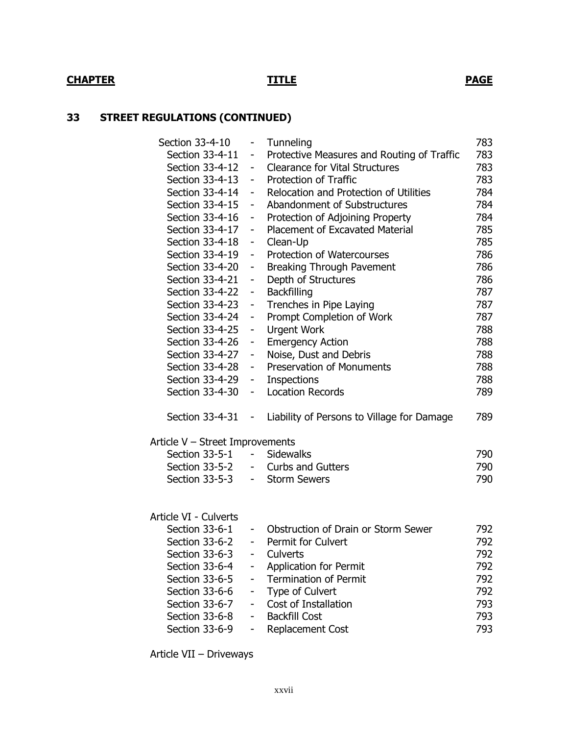## **33 STREET REGULATIONS (CONTINUED)**

| Section 33-4-10                 | $\sigma_{\rm{max}}$          | Tunneling                                  | 783 |
|---------------------------------|------------------------------|--------------------------------------------|-----|
| Section 33-4-11                 | $\sim 100$                   | Protective Measures and Routing of Traffic | 783 |
| Section 33-4-12                 | $\sim$                       | <b>Clearance for Vital Structures</b>      | 783 |
| Section 33-4-13                 | $\sim 100$                   | <b>Protection of Traffic</b>               | 783 |
| Section 33-4-14                 | $\sim$                       | Relocation and Protection of Utilities     | 784 |
| Section 33-4-15                 | $\blacksquare$               | Abandonment of Substructures               | 784 |
| Section 33-4-16                 | -                            | Protection of Adjoining Property           | 784 |
| Section 33-4-17                 | $\blacksquare$               | <b>Placement of Excavated Material</b>     | 785 |
| Section 33-4-18                 | $\sim 100$                   | Clean-Up                                   | 785 |
| Section 33-4-19                 | $\blacksquare$               | <b>Protection of Watercourses</b>          | 786 |
| Section 33-4-20                 |                              | <b>Breaking Through Pavement</b>           | 786 |
| Section 33-4-21                 | ۰                            | Depth of Structures                        | 786 |
| <b>Section 33-4-22</b>          | $\qquad \qquad \blacksquare$ | Backfilling                                | 787 |
| Section 33-4-23                 | $\overline{\phantom{0}}$     | Trenches in Pipe Laying                    | 787 |
| Section 33-4-24                 | $\qquad \qquad -$            | Prompt Completion of Work                  | 787 |
| <b>Section 33-4-25</b>          | $\blacksquare$               | <b>Urgent Work</b>                         | 788 |
| Section 33-4-26                 | $\sim$                       | <b>Emergency Action</b>                    | 788 |
| Section 33-4-27                 | $\pm$                        | Noise, Dust and Debris                     | 788 |
| Section 33-4-28                 | $\blacksquare$               | <b>Preservation of Monuments</b>           | 788 |
| Section 33-4-29                 | $\sim 100$                   | <b>Inspections</b>                         | 788 |
| Section 33-4-30                 | $\sim$                       | <b>Location Records</b>                    | 789 |
| Section 33-4-31                 | $\blacksquare$               | Liability of Persons to Village for Damage | 789 |
| Article V - Street Improvements |                              |                                            |     |
| Section 33-5-1                  | $\omega_{\rm{max}}$          | Sidewalks                                  | 790 |
| Section 33-5-2                  |                              | - Curbs and Gutters                        | 790 |
| Section $33-5-3$ -              |                              | <b>Storm Sewers</b>                        | 790 |
|                                 |                              |                                            |     |
| Article VI - Culverts           |                              |                                            |     |
| Section 33-6-1                  | $\sim 100$                   | Obstruction of Drain or Storm Sewer        | 792 |
| Section 33-6-2                  | $\sim$ $-$                   | <b>Permit for Culvert</b>                  | 792 |
| Section 33-6-3                  |                              | Culverts                                   | 792 |
| Section 33-6-4                  |                              | Application for Permit                     | 792 |
| Section 33-6-5                  | -                            | <b>Termination of Permit</b>               | 792 |
| Section 33-6-6                  |                              | Type of Culvert                            | 792 |
| Section 33-6-7                  | ۰.                           | Cost of Installation                       | 793 |
| Section 33-6-8                  | ۰.                           | <b>Backfill Cost</b>                       | 793 |

Section 33-6-9 - Replacement Cost 793

Article VII – Driveways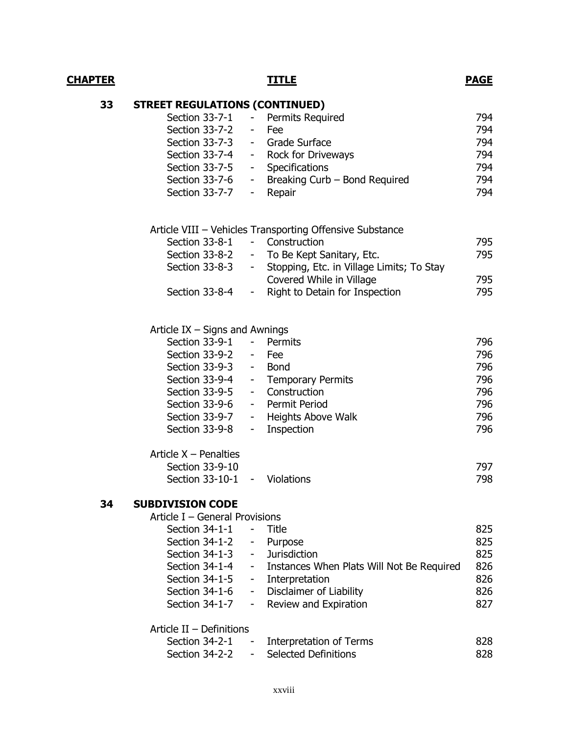#### **33 STREET REGULATIONS (CONTINUED)**

|                | Section 33-7-1 - Permits Required | 794 |  |
|----------------|-----------------------------------|-----|--|
| Section 33-7-2 | Fee                               | 794 |  |
| Section 33-7-3 | - Grade Surface                   | 794 |  |
| Section 33-7-4 | - Rock for Driveways              | 794 |  |
| Section 33-7-5 | - Specifications                  | 794 |  |
| Section 33-7-6 | - Breaking Curb – Bond Required   | 794 |  |
| Section 33-7-7 | Repair                            | 794 |  |
|                |                                   |     |  |

# Article VIII – Vehicles Transporting Offensive Substance

| Section 33-8-1 | - Construction                            | 795 |
|----------------|-------------------------------------------|-----|
| Section 33-8-2 | - To Be Kept Sanitary, Etc.               | 795 |
| Section 33-8-3 | Stopping, Etc. in Village Limits; To Stay |     |
|                | Covered While in Village                  | 795 |
| Section 33-8-4 | Right to Detain for Inspection            | 795 |

### Article IX – Signs and Awnings

| Section 33-9-1<br>$\sim$ | Permits                   | 796                                                  |
|--------------------------|---------------------------|------------------------------------------------------|
|                          | Fee                       | 796                                                  |
| $\overline{\phantom{0}}$ | <b>Bond</b>               | 796                                                  |
|                          |                           | 796                                                  |
|                          | Construction              | 796                                                  |
|                          |                           | 796                                                  |
|                          | <b>Heights Above Walk</b> | 796                                                  |
| $\overline{\phantom{0}}$ | Inspection                | 796                                                  |
|                          |                           | - Temporary Permits<br>$\sim$ $-$<br>- Permit Period |

| Article X – Penalties          |  |     |
|--------------------------------|--|-----|
| Section 33-9-10                |  | 797 |
| Section $33-10-1$ - Violations |  | 798 |

#### **34 SUBDIVISION CODE**

Article I – General Provisions

| Section 34-1-1           |        | Title                                     | 825 |
|--------------------------|--------|-------------------------------------------|-----|
| Section 34-1-2           | ۰      | Purpose                                   | 825 |
| Section 34-1-3           |        | <b>Jurisdiction</b>                       | 825 |
| Section 34-1-4           | $\sim$ | Instances When Plats Will Not Be Required | 826 |
| Section 34-1-5           |        | Interpretation                            | 826 |
| Section 34-1-6           |        | Disclaimer of Liability                   | 826 |
| Section 34-1-7           | $\sim$ | Review and Expiration                     | 827 |
| Article II – Definitions |        |                                           |     |
| Section 34-2-1           |        | Interpretation of Terms                   | 828 |
| Section 34-2-2           |        | <b>Selected Definitions</b>               | 828 |
|                          |        |                                           |     |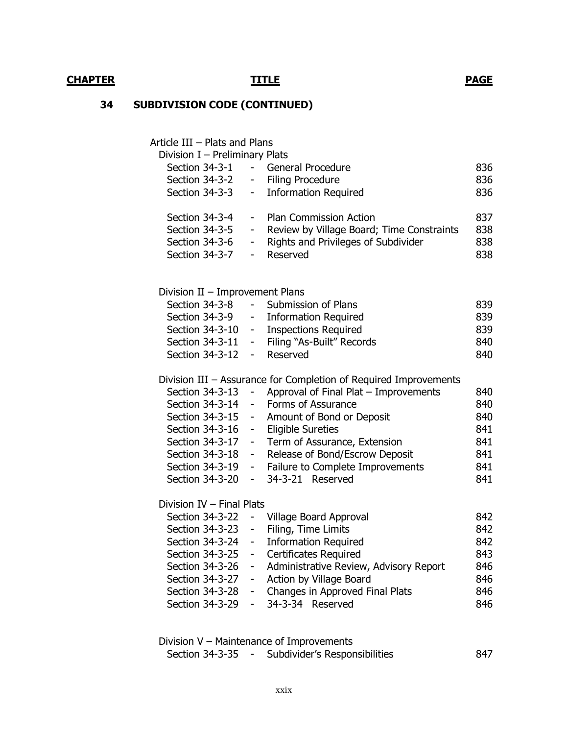### **34 SUBDIVISION CODE (CONTINUED)**

### Article III – Plats and Plans

| Division I - Preliminary Plats |                                       |     |  |
|--------------------------------|---------------------------------------|-----|--|
|                                | Section 34-3-1 - General Procedure    | 836 |  |
|                                | Section 34-3-2 - Filing Procedure     | 836 |  |
|                                | Section 34-3-3 - Information Required | 836 |  |

| Section 34-3-4 |            | - Plan Commission Action                  | 837 |
|----------------|------------|-------------------------------------------|-----|
| Section 34-3-5 | $\sim 100$ | Review by Village Board; Time Constraints | 838 |
| Section 34-3-6 |            | - Rights and Privileges of Subdivider     | 838 |
| Section 34-3-7 |            | - Reserved                                | 838 |

#### Division II – Improvement Plans

|  | 839                                                                                                                                                                    |
|--|------------------------------------------------------------------------------------------------------------------------------------------------------------------------|
|  | 839                                                                                                                                                                    |
|  | 839                                                                                                                                                                    |
|  | 840                                                                                                                                                                    |
|  | 840                                                                                                                                                                    |
|  | - Submission of Plans<br>- Information Required<br>Section 34-3-10 - Inspections Required<br>Section 34-3-11 - Filing "As-Built" Records<br>Section 34-3-12 - Reserved |

### Division III – Assurance for Completion of Required Improvements

|                 |            | Section 34-3-13 - Approval of Final Plat – Improvements | 840 |
|-----------------|------------|---------------------------------------------------------|-----|
| Section 34-3-14 | $\sim 100$ | Forms of Assurance                                      | 840 |
| Section 34-3-15 | $\sim$ $-$ | Amount of Bond or Deposit                               | 840 |
| Section 34-3-16 |            | - Eligible Sureties                                     | 841 |
|                 |            | Section 34-3-17 - Term of Assurance, Extension          | 841 |
| Section 34-3-18 | $\sim$ $-$ | Release of Bond/Escrow Deposit                          | 841 |
| Section 34-3-19 |            | - Failure to Complete Improvements                      | 841 |
| Section 34-3-20 |            | - 34-3-21 Reserved                                      | 841 |

#### Division IV – Final Plats

| Section 34-3-22 - | Village Board Approval                  | 842 |
|-------------------|-----------------------------------------|-----|
|                   | Section 34-3-23 - Filing, Time Limits   | 842 |
|                   | Section 34-3-24 - Information Required  | 842 |
|                   | Section 34-3-25 - Certificates Required | 843 |
| Section 34-3-26 - | Administrative Review, Advisory Report  | 846 |
| Section 34-3-27 - | Action by Village Board                 | 846 |
| Section 34-3-28   | - Changes in Approved Final Plats       | 846 |
| Section 34-3-29   | - 34-3-34 Reserved                      | 846 |

Division V – Maintenance of Improvements

| Section 34-3-35 |  | Subdivider's Responsibilities | 847 |
|-----------------|--|-------------------------------|-----|
|-----------------|--|-------------------------------|-----|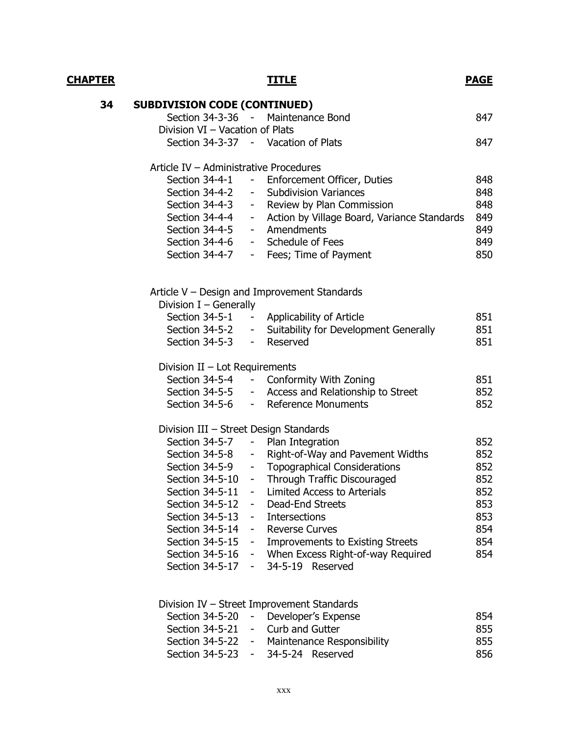| <u>CHAPTER</u> | <u>TITLE</u>                                                                                                                                                                                                                                                                                                                                                                                                                      | <b>PAGE</b>                                   |
|----------------|-----------------------------------------------------------------------------------------------------------------------------------------------------------------------------------------------------------------------------------------------------------------------------------------------------------------------------------------------------------------------------------------------------------------------------------|-----------------------------------------------|
| 34             | <b>SUBDIVISION CODE (CONTINUED)</b>                                                                                                                                                                                                                                                                                                                                                                                               |                                               |
|                | Section 34-3-36 -<br><b>Maintenance Bond</b><br>Division VI - Vacation of Plats                                                                                                                                                                                                                                                                                                                                                   | 847                                           |
|                | Section 34-3-37 - Vacation of Plats                                                                                                                                                                                                                                                                                                                                                                                               | 847                                           |
|                | Article IV - Administrative Procedures<br>Section 34-4-1<br>Enforcement Officer, Duties<br>$\sigma_{\rm{max}}$<br><b>Subdivision Variances</b><br>Section 34-4-2<br>$\sim 100$<br>- Review by Plan Commission<br>Section 34-4-3<br>Section 34-4-4<br>Action by Village Board, Variance Standards<br>$\sim$<br>Section 34-4-5<br>- Amendments<br>- Schedule of Fees<br>Section 34-4-6<br>Section 34-4-7<br>- Fees; Time of Payment | 848<br>848<br>848<br>849<br>849<br>849<br>850 |
|                |                                                                                                                                                                                                                                                                                                                                                                                                                                   |                                               |
|                | Article V – Design and Improvement Standards                                                                                                                                                                                                                                                                                                                                                                                      |                                               |
|                | Division $I -$ Generally<br>Section 34-5-1 - Applicability of Article<br>Section 34-5-2 - Suitability for Development Generally<br>Section 34-5-3<br>- Reserved                                                                                                                                                                                                                                                                   | 851<br>851<br>851                             |
|                | Division $II$ – Lot Requirements                                                                                                                                                                                                                                                                                                                                                                                                  |                                               |
|                | Section 34-5-4<br>Conformity With Zoning<br>$\sigma_{\rm{max}}$                                                                                                                                                                                                                                                                                                                                                                   | 851                                           |
|                | - Access and Relationship to Street<br>Section 34-5-5                                                                                                                                                                                                                                                                                                                                                                             | 852                                           |
|                | - Reference Monuments<br>Section 34-5-6                                                                                                                                                                                                                                                                                                                                                                                           | 852                                           |
|                | Division III - Street Design Standards                                                                                                                                                                                                                                                                                                                                                                                            |                                               |
|                | Section 34-5-7<br>Plan Integration<br>$\sim 100$                                                                                                                                                                                                                                                                                                                                                                                  | 852                                           |
|                | Section 34-5-8 - Right-of-Way and Pavement Widths                                                                                                                                                                                                                                                                                                                                                                                 | 852                                           |
|                | Section 34-5-9<br>- Topographical Considerations                                                                                                                                                                                                                                                                                                                                                                                  | 852                                           |
|                | Section 34-5-10<br>Through Traffic Discouraged<br>$\blacksquare$                                                                                                                                                                                                                                                                                                                                                                  | 852                                           |
|                | Section 34-5-11<br>$\overline{\phantom{0}}$<br>Limited Access to Arterials                                                                                                                                                                                                                                                                                                                                                        | 852                                           |
|                | Section 34-5-12<br>Dead-End Streets<br>$\blacksquare$                                                                                                                                                                                                                                                                                                                                                                             | 853                                           |
|                | Section 34-5-13<br><b>Intersections</b><br>$\sim$                                                                                                                                                                                                                                                                                                                                                                                 | 853                                           |
|                | Section 34-5-14<br><b>Reverse Curves</b><br>$\sigma_{\rm{max}}$                                                                                                                                                                                                                                                                                                                                                                   | 854                                           |
|                | Section 34-5-15<br><b>Improvements to Existing Streets</b><br>$\sim 100$<br>Section 34-5-16<br>- When Excess Right-of-way Required                                                                                                                                                                                                                                                                                                | 854<br>854                                    |
|                | Section 34-5-17 -<br>34-5-19 Reserved                                                                                                                                                                                                                                                                                                                                                                                             |                                               |
|                | Division IV - Street Improvement Standards                                                                                                                                                                                                                                                                                                                                                                                        |                                               |
|                | Section 34-5-20<br>Developer's Expense<br>$\sim$                                                                                                                                                                                                                                                                                                                                                                                  | 854                                           |
|                | Curb and Gutter<br>Section 34-5-21<br>$\sigma_{\rm{max}}$                                                                                                                                                                                                                                                                                                                                                                         | 855                                           |
|                | Section 34-5-22 - Maintenance Responsibility                                                                                                                                                                                                                                                                                                                                                                                      | 855                                           |
|                | Section 34-5-23 - 34-5-24 Reserved                                                                                                                                                                                                                                                                                                                                                                                                | 856                                           |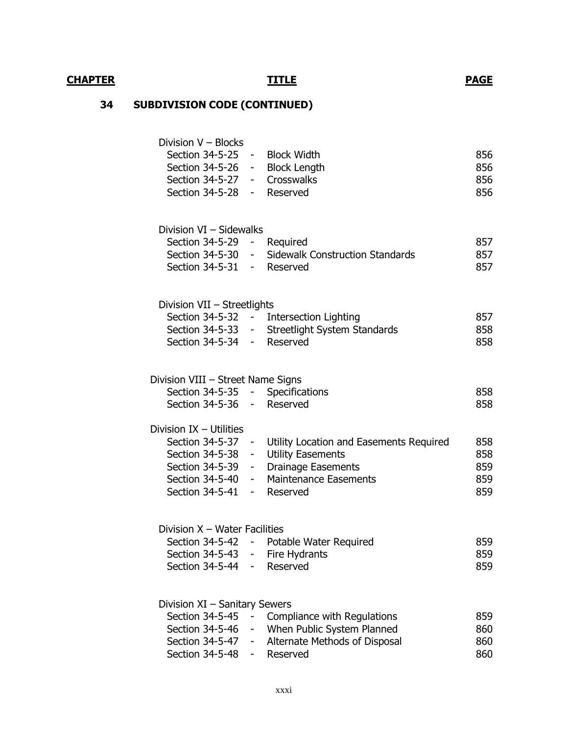# **34 SUBDIVISION CODE (CONTINUED)**

| Division V - Blocks<br>Section 34-5-25 - Block Width<br>Section 34-5-26 - Block Length<br>Section 34-5-27 - Crosswalks<br>Section 34-5-28 - Reserved |                                                                                                                                  | 856<br>856<br>856<br>856        |
|------------------------------------------------------------------------------------------------------------------------------------------------------|----------------------------------------------------------------------------------------------------------------------------------|---------------------------------|
| Division VI - Sidewalks<br>Section 34-5-29 - Required<br>Section 34-5-31 - Reserved                                                                  | Section 34-5-30 - Sidewalk Construction Standards                                                                                | 857<br>857<br>857               |
| Division VII - Streetlights<br>Section 34-5-32 - Intersection Lighting<br>Section 34-5-34 - Reserved                                                 | Section 34-5-33 - Streetlight System Standards                                                                                   | 857<br>858<br>858               |
| Division VIII - Street Name Signs<br>Section 34-5-35 - Specifications<br>Section 34-5-36 - Reserved                                                  |                                                                                                                                  | 858<br>858                      |
| Division IX - Utilities<br>Section 34-5-38 -<br>Section 34-5-39 - Drainage Easements<br>Section 34-5-41 - Reserved                                   | Section 34-5-37 - Utility Location and Easements Required<br><b>Utility Easements</b><br>Section 34-5-40 - Maintenance Easements | 858<br>858<br>859<br>859<br>859 |
| Division X - Water Facilities<br>Section 34-5-43 - Fire Hydrants<br>Section 34-5-44 -                                                                | Section 34-5-42 - Potable Water Required<br>Reserved                                                                             | 859<br>859<br>859               |
| Division XI - Sanitary Sewers<br>Section 34-5-45<br>$\qquad \qquad \blacksquare$<br>Section 34-5-46<br>-<br>Section 34-5-48<br>$\sim 100$            | Compliance with Regulations<br>When Public System Planned<br>Section 34-5-47 - Alternate Methods of Disposal<br>Reserved         | 859<br>860<br>860<br>860        |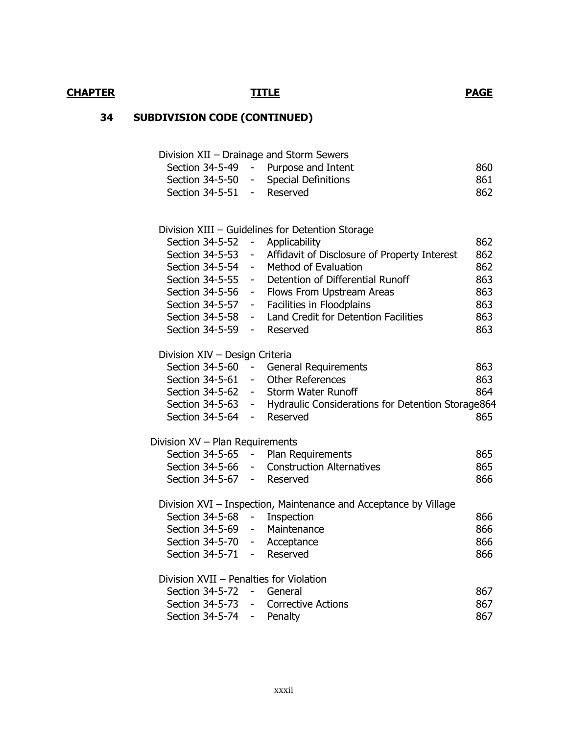# **34 SUBDIVISION CODE (CONTINUED)**

| Division XII - Drainage and Storm Sewers |  |
|------------------------------------------|--|
|------------------------------------------|--|

|                            | Section 34-5-49 - Purpose and Intent  | 860 |
|----------------------------|---------------------------------------|-----|
|                            | Section 34-5-50 - Special Definitions | 861 |
| Section 34-5-51 - Reserved |                                       | 862 |

|                                         |            | Division XIII - Guidelines for Detention Storage                    |     |
|-----------------------------------------|------------|---------------------------------------------------------------------|-----|
| Section 34-5-52 -                       |            | Applicability                                                       | 862 |
| Section 34-5-53 -                       |            | Affidavit of Disclosure of Property Interest                        | 862 |
| Section 34-5-54 -                       |            | Method of Evaluation                                                | 862 |
| Section 34-5-55                         |            | Detention of Differential Runoff                                    | 863 |
| Section 34-5-56 -                       |            | Flows From Upstream Areas                                           | 863 |
|                                         |            | Section 34-5-57 - Facilities in Floodplains                         | 863 |
| Section 34-5-58 -                       |            | Land Credit for Detention Facilities                                | 863 |
| Section 34-5-59                         | $\sim 100$ | Reserved                                                            | 863 |
| Division XIV - Design Criteria          |            |                                                                     |     |
| Section 34-5-60 -                       |            | <b>General Requirements</b>                                         | 863 |
|                                         |            | Section 34-5-61 - Other References                                  | 863 |
|                                         |            | Section 34-5-62 - Storm Water Runoff                                | 864 |
|                                         |            | Section 34-5-63 - Hydraulic Considerations for Detention Storage864 |     |
| Section 34-5-64 -                       |            | Reserved                                                            | 865 |
| Division XV - Plan Requirements         |            |                                                                     |     |
|                                         |            | Section 34-5-65 - Plan Requirements                                 | 865 |
|                                         |            | Section 34-5-66 - Construction Alternatives                         | 865 |
| Section 34-5-67 - Reserved              |            |                                                                     | 866 |
|                                         |            | Division XVI – Inspection, Maintenance and Acceptance by Village    |     |
| Section 34-5-68 -                       |            | Inspection                                                          | 866 |
| Section 34-5-69 - Maintenance           |            |                                                                     | 866 |
| Section 34-5-70 - Acceptance            |            |                                                                     | 866 |
| Section 34-5-71 -                       |            | Reserved                                                            | 866 |
| Division XVII - Penalties for Violation |            |                                                                     |     |
| Section 34-5-72 -                       |            | General                                                             | 867 |
|                                         |            | Section 34-5-73 - Corrective Actions                                | 867 |
| Section 34-5-74                         | $\sim 100$ | Penalty                                                             | 867 |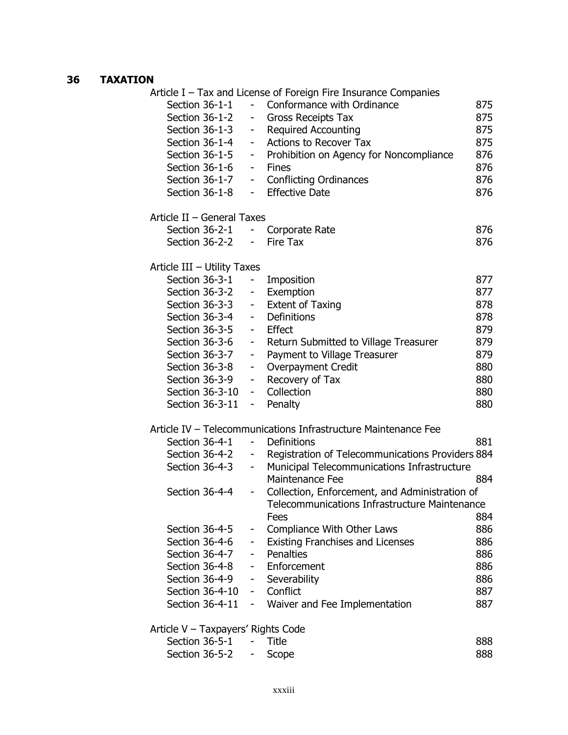### **36 TAXATION**

|                                    | Article I – Tax and License of Foreign Fire Insurance Companies |     |
|------------------------------------|-----------------------------------------------------------------|-----|
| Section 36-1-1                     | Conformance with Ordinance<br>$\omega_{\rm c}$                  | 875 |
| Section 36-1-2                     | <b>Gross Receipts Tax</b><br>Ξ.                                 | 875 |
| Section 36-1-3                     | <b>Required Accounting</b><br>۰.                                | 875 |
| Section 36-1-4                     | Actions to Recover Tax<br>-                                     | 875 |
| Section 36-1-5                     | Prohibition on Agency for Noncompliance<br>Ξ.                   | 876 |
| Section 36-1-6                     | <b>Fines</b><br>$\overline{\phantom{a}}$                        | 876 |
| Section 36-1-7                     | <b>Conflicting Ordinances</b><br>Ξ.                             | 876 |
| Section 36-1-8                     | <b>Effective Date</b><br>$\sim$                                 | 876 |
| Article II - General Taxes         |                                                                 |     |
| Section 36-2-1                     | $\sim 10^{-1}$<br>Corporate Rate                                | 876 |
| Section 36-2-2                     | <b>Fire Tax</b><br>$\sim$                                       | 876 |
| Article III - Utility Taxes        |                                                                 |     |
| Section 36-3-1                     | Imposition<br>$\sim$                                            | 877 |
| Section 36-3-2                     | Exemption<br>-                                                  | 877 |
| Section 36-3-3                     | <b>Extent of Taxing</b><br>$\blacksquare$                       | 878 |
| Section 36-3-4                     | Definitions<br>н.                                               | 878 |
| Section 36-3-5                     | Effect<br>۰,                                                    | 879 |
| Section 36-3-6                     | Return Submitted to Village Treasurer<br>۰                      | 879 |
| Section 36-3-7                     | Payment to Village Treasurer<br>۰                               | 879 |
| Section 36-3-8                     | <b>Overpayment Credit</b><br>۳.                                 | 880 |
| Section 36-3-9                     | Recovery of Tax<br>$\blacksquare$                               | 880 |
| Section 36-3-10                    | Collection<br>-                                                 | 880 |
| Section 36-3-11                    | Penalty<br>$\sim$                                               | 880 |
|                                    | Article IV - Telecommunications Infrastructure Maintenance Fee  |     |
| Section 36-4-1                     | $\overline{\phantom{0}}$<br>Definitions                         | 881 |
| Section 36-4-2                     | Registration of Telecommunications Providers 884<br>$\sim$      |     |
| Section 36-4-3                     | Municipal Telecommunications Infrastructure<br>$\sim$           |     |
|                                    | Maintenance Fee                                                 | 884 |
| Section 36-4-4                     | Collection, Enforcement, and Administration of<br>-             |     |
|                                    | Telecommunications Infrastructure Maintenance                   |     |
|                                    | Fees                                                            | 884 |
| Section 36-4-5                     | Compliance With Other Laws<br>- 1                               | 886 |
| Section 36-4-6                     | <b>Existing Franchises and Licenses</b>                         | 886 |
| Section 36-4-7                     | Penalties                                                       | 886 |
| Section 36-4-8                     | - Enforcement                                                   | 886 |
| Section 36-4-9                     | - Severability                                                  | 886 |
| Section 36-4-10                    | - Conflict                                                      | 887 |
| Section 36-4-11                    | Waiver and Fee Implementation<br>$\sim$                         | 887 |
| Article V - Taxpayers' Rights Code |                                                                 |     |
| Section 36-5-1                     | - Title                                                         | 888 |
| Section 36-5-2                     | Scope<br>÷.                                                     | 888 |
|                                    |                                                                 |     |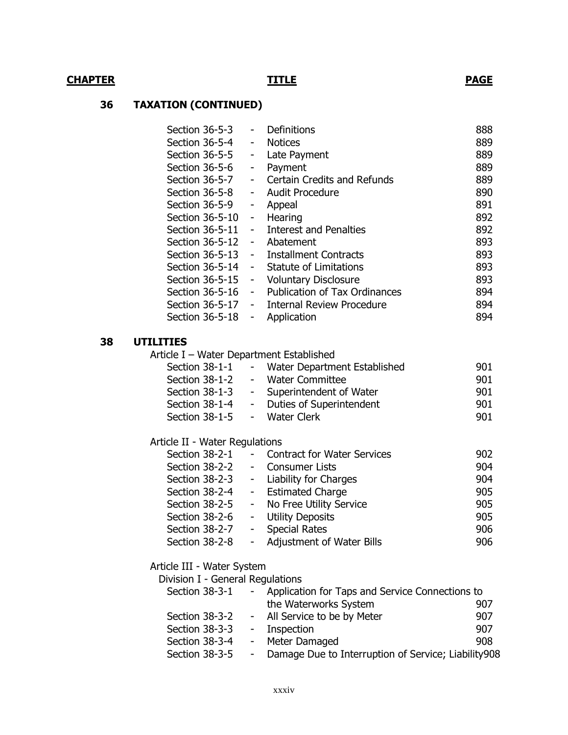## **36 TAXATION (CONTINUED)**

| Section 36-5-3  | $\overline{\phantom{a}}$     | Definitions                          | 888 |
|-----------------|------------------------------|--------------------------------------|-----|
| Section 36-5-4  | $\overline{\phantom{a}}$     | <b>Notices</b>                       | 889 |
| Section 36-5-5  | -                            | Late Payment                         | 889 |
| Section 36-5-6  | $\overline{\phantom{a}}$     | Payment                              | 889 |
| Section 36-5-7  | $\overline{\phantom{0}}$     | <b>Certain Credits and Refunds</b>   | 889 |
| Section 36-5-8  | $\overline{\phantom{a}}$     | Audit Procedure                      | 890 |
| Section 36-5-9  | $\overline{\phantom{0}}$     | Appeal                               | 891 |
| Section 36-5-10 | $\qquad \qquad \blacksquare$ | Hearing                              | 892 |
| Section 36-5-11 | $\sim$                       | <b>Interest and Penalties</b>        | 892 |
| Section 36-5-12 | $\sim$                       | Abatement                            | 893 |
| Section 36-5-13 | $\overline{\phantom{a}}$     | <b>Installment Contracts</b>         | 893 |
| Section 36-5-14 | $\overline{\phantom{a}}$     | <b>Statute of Limitations</b>        | 893 |
| Section 36-5-15 | $\overline{\phantom{a}}$     | <b>Voluntary Disclosure</b>          | 893 |
| Section 36-5-16 | $\overline{\phantom{a}}$     | <b>Publication of Tax Ordinances</b> | 894 |
| Section 36-5-17 | $\sim$                       | <b>Internal Review Procedure</b>     | 894 |
| Section 36-5-18 | $\overline{\phantom{a}}$     | Application                          | 894 |

#### **38 UTILITIES**

|  | Article I – Water Department Established |  |
|--|------------------------------------------|--|
|--|------------------------------------------|--|

| Section 38-1-1 |            | - Water Department Established | 901 |
|----------------|------------|--------------------------------|-----|
| Section 38-1-2 |            | - Water Committee              | 901 |
| Section 38-1-3 |            | - Superintendent of Water      | 901 |
| Section 38-1-4 | $\sim 100$ | Duties of Superintendent       | 901 |
| Section 38-1-5 |            | - Water Clerk                  | 901 |

## Article II - Water Regulations

| Section 38-2-1 | - Contract for Water Services | 902 |
|----------------|-------------------------------|-----|
| Section 38-2-2 | - Consumer Lists              | 904 |
| Section 38-2-3 | - Liability for Charges       | 904 |
| Section 38-2-4 | - Estimated Charge            | 905 |
| Section 38-2-5 | - No Free Utility Service     | 905 |
| Section 38-2-6 | - Utility Deposits            | 905 |
| Section 38-2-7 | - Special Rates               | 906 |
| Section 38-2-8 | - Adjustment of Water Bills   | 906 |

#### Article III - Water System

Division I - General Regulations

| Section 38-3-1 |                 | - Application for Taps and Service Connections to   |     |  |
|----------------|-----------------|-----------------------------------------------------|-----|--|
|                |                 | the Waterworks System                               | 907 |  |
| Section 38-3-2 |                 | - All Service to be by Meter                        | 907 |  |
| Section 38-3-3 |                 | - Inspection                                        | 907 |  |
| Section 38-3-4 |                 | - Meter Damaged                                     | 908 |  |
| Section 38-3-5 | $\sim$ 10 $\pm$ | Damage Due to Interruption of Service; Liability908 |     |  |
|                |                 |                                                     |     |  |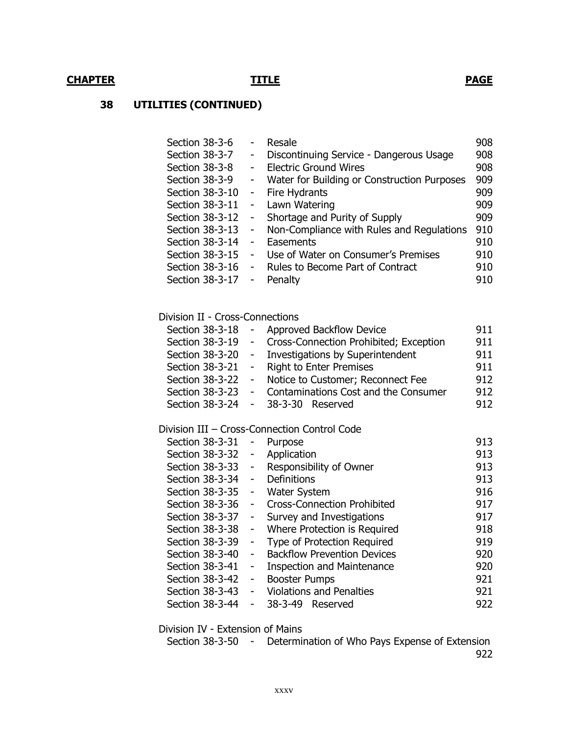## **38 UTILITIES (CONTINUED)**

| Section 38-3-6  |                          | Resale                                      | 908 |
|-----------------|--------------------------|---------------------------------------------|-----|
| Section 38-3-7  | ۰                        | Discontinuing Service - Dangerous Usage     | 908 |
| Section 38-3-8  | ۰                        | <b>Electric Ground Wires</b>                | 908 |
| Section 38-3-9  | ۰                        | Water for Building or Construction Purposes | 909 |
| Section 38-3-10 | -                        | Fire Hydrants                               | 909 |
| Section 38-3-11 | -                        | Lawn Watering                               | 909 |
| Section 38-3-12 | $\overline{\phantom{a}}$ | Shortage and Purity of Supply               | 909 |
| Section 38-3-13 | $\overline{\phantom{a}}$ | Non-Compliance with Rules and Regulations   | 910 |
| Section 38-3-14 | $\overline{\phantom{a}}$ | Easements                                   | 910 |
| Section 38-3-15 | -                        | Use of Water on Consumer's Premises         | 910 |
| Section 38-3-16 | $\overline{\phantom{a}}$ | Rules to Become Part of Contract            | 910 |
| Section 38-3-17 | -                        | Penalty                                     | 910 |
|                 |                          |                                             |     |

#### Division II - Cross-Connections

| Section 38-3-18 | $\sim 100$       | Approved Backflow Device                 | 911 |
|-----------------|------------------|------------------------------------------|-----|
| Section 38-3-19 |                  | - Cross-Connection Prohibited; Exception | 911 |
| Section 38-3-20 | $\sim 100$       | Investigations by Superintendent         | 911 |
| Section 38-3-21 | $\sim 100$       | <b>Right to Enter Premises</b>           | 911 |
| Section 38-3-22 | $\sim$ 100 $\mu$ | Notice to Customer; Reconnect Fee        | 912 |
| Section 38-3-23 | $\sim 100$       | Contaminations Cost and the Consumer     | 912 |
| Section 38-3-24 |                  | $-$ 38-3-30 Reserved                     | 912 |

#### Division III – Cross-Connection Control Code

| Section 38-3-31 | -                            | Purpose                            | 913 |
|-----------------|------------------------------|------------------------------------|-----|
| Section 38-3-32 | ۰                            | Application                        | 913 |
| Section 38-3-33 | ۰                            | Responsibility of Owner            | 913 |
| Section 38-3-34 | $\overline{\phantom{a}}$     | <b>Definitions</b>                 | 913 |
| Section 38-3-35 | $\overline{\phantom{a}}$     | <b>Water System</b>                | 916 |
| Section 38-3-36 | $\overline{\phantom{a}}$     | <b>Cross-Connection Prohibited</b> | 917 |
| Section 38-3-37 | $\overline{\phantom{a}}$     | Survey and Investigations          | 917 |
| Section 38-3-38 | $\sim$                       | Where Protection is Required       | 918 |
| Section 38-3-39 | $\qquad \qquad \blacksquare$ | Type of Protection Required        | 919 |
| Section 38-3-40 | $\overline{\phantom{a}}$     | <b>Backflow Prevention Devices</b> | 920 |
| Section 38-3-41 | $\overline{\phantom{a}}$     | <b>Inspection and Maintenance</b>  | 920 |
| Section 38-3-42 | $\qquad \qquad \blacksquare$ | <b>Booster Pumps</b>               | 921 |
| Section 38-3-43 | $\overline{\phantom{a}}$     | <b>Violations and Penalties</b>    | 921 |
| Section 38-3-44 | -                            | $38 - 3 - 49$<br>Reserved          | 922 |
|                 |                              |                                    |     |

Division IV - Extension of Mains

|  | Section 38-3-50 - Determination of Who Pays Expense of Extension |
|--|------------------------------------------------------------------|
|  | 922                                                              |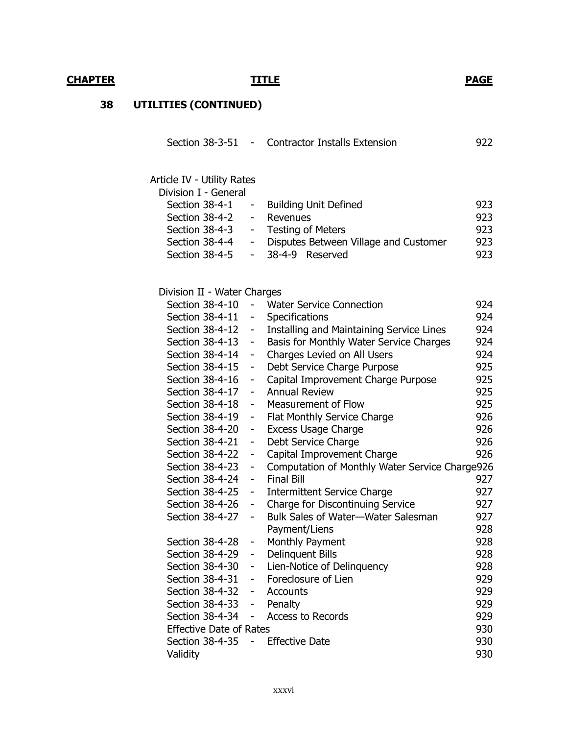# **38 UTILITIES (CONTINUED)**

| Section 38-3-51                | $\sim$ $-$                   | <b>Contractor Installs Extension</b>           | 922 |
|--------------------------------|------------------------------|------------------------------------------------|-----|
| Article IV - Utility Rates     |                              |                                                |     |
| Division I - General           |                              |                                                |     |
| Section 38-4-1                 | ۰                            | <b>Building Unit Defined</b>                   | 923 |
| Section 38-4-2                 | ۰                            | Revenues                                       | 923 |
| Section 38-4-3                 | ۰                            | <b>Testing of Meters</b>                       | 923 |
| Section 38-4-4                 | -                            | Disputes Between Village and Customer          | 923 |
| Section 38-4-5                 | ۰                            | 38-4-9 Reserved                                | 923 |
| Division II - Water Charges    |                              |                                                |     |
| Section 38-4-10                | $\overline{\phantom{0}}$     | <b>Water Service Connection</b>                | 924 |
| Section 38-4-11                | ۰                            | Specifications                                 | 924 |
| Section 38-4-12                | ۰                            | Installing and Maintaining Service Lines       | 924 |
| Section 38-4-13                | $\qquad \qquad \blacksquare$ | Basis for Monthly Water Service Charges        | 924 |
| Section 38-4-14                | ۰                            | Charges Levied on All Users                    | 924 |
| Section 38-4-15                | ۰                            | Debt Service Charge Purpose                    | 925 |
| Section 38-4-16                | $\overline{\phantom{0}}$     | Capital Improvement Charge Purpose             | 925 |
| Section 38-4-17                | $\qquad \qquad \blacksquare$ | <b>Annual Review</b>                           | 925 |
| Section 38-4-18                | ۰                            | Measurement of Flow                            | 925 |
| Section 38-4-19                | -                            | Flat Monthly Service Charge                    | 926 |
| Section 38-4-20                | -                            | <b>Excess Usage Charge</b>                     | 926 |
| Section 38-4-21                | $\overline{\phantom{0}}$     | Debt Service Charge                            | 926 |
| Section 38-4-22                | ۰                            | Capital Improvement Charge                     | 926 |
| Section 38-4-23                | ۰                            | Computation of Monthly Water Service Charge926 |     |
| Section 38-4-24                | $\overline{\phantom{a}}$     | <b>Final Bill</b>                              | 927 |
| Section 38-4-25                | $\overline{\phantom{0}}$     | <b>Intermittent Service Charge</b>             | 927 |
| Section 38-4-26                | -                            | Charge for Discontinuing Service               | 927 |
| Section 38-4-27                | -                            | Bulk Sales of Water-Water Salesman             | 927 |
|                                |                              | Payment/Liens                                  | 928 |
| Section 38-4-28                | $\overline{\phantom{a}}$     | Monthly Payment                                | 928 |
| Section 38-4-29 -              |                              | Delinquent Bills                               | 928 |
| Section 38-4-30 -              |                              | Lien-Notice of Delinquency                     | 928 |
| Section 38-4-31 -              |                              | Foreclosure of Lien                            | 929 |
| Section 38-4-32 -              |                              | Accounts                                       | 929 |
| Section 38-4-33 -              |                              | Penalty                                        | 929 |
| Section 38-4-34                | $\sim$                       | <b>Access to Records</b>                       | 929 |
| <b>Effective Date of Rates</b> |                              |                                                | 930 |
| Section 38-4-35 -              |                              | <b>Effective Date</b>                          | 930 |
| Validity                       |                              |                                                | 930 |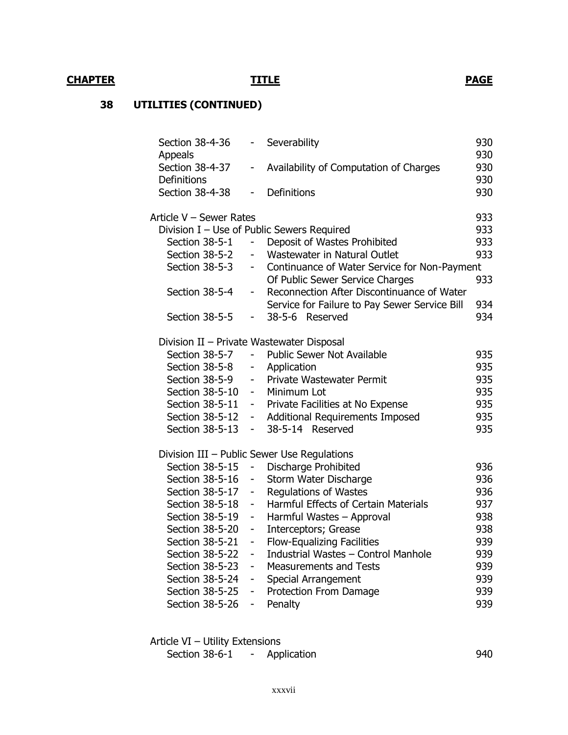## **38 UTILITIES (CONTINUED)**

| Section 38-4-36<br>Appeals                | $\overline{\phantom{0}}$     | Severability                                  | 930<br>930 |
|-------------------------------------------|------------------------------|-----------------------------------------------|------------|
| Section 38-4-37                           | -                            | Availability of Computation of Charges        | 930        |
| <b>Definitions</b>                        |                              |                                               | 930        |
| Section 38-4-38                           | $\overline{a}$               | Definitions                                   | 930        |
|                                           |                              |                                               |            |
| Article V – Sewer Rates                   |                              |                                               | 933        |
|                                           |                              | Division I - Use of Public Sewers Required    | 933        |
| Section 38-5-1                            | $\overline{\phantom{0}}$     | Deposit of Wastes Prohibited                  | 933        |
| Section 38-5-2                            | $\blacksquare$               | Wastewater in Natural Outlet                  | 933        |
| Section 38-5-3                            | $\blacksquare$               | Continuance of Water Service for Non-Payment  |            |
|                                           |                              | Of Public Sewer Service Charges               | 933        |
| Section 38-5-4                            | $\blacksquare$               | Reconnection After Discontinuance of Water    |            |
|                                           |                              | Service for Failure to Pay Sewer Service Bill | 934        |
| Section 38-5-5                            | $\qquad \qquad \blacksquare$ | 38-5-6 Reserved                               | 934        |
|                                           |                              |                                               |            |
| Division II - Private Wastewater Disposal |                              |                                               |            |
| Section 38-5-7                            | $\overline{\phantom{0}}$     | <b>Public Sewer Not Available</b>             | 935        |
| Section 38-5-8                            | $\overline{\phantom{0}}$     | Application                                   | 935        |
| Section 38-5-9                            | $\overline{\phantom{a}}$     | Private Wastewater Permit                     | 935        |
| Section 38-5-10                           | $\blacksquare$               | Minimum Lot                                   | 935        |
| Section 38-5-11                           | $\overline{\phantom{a}}$     | Private Facilities at No Expense              | 935        |
| Section 38-5-12                           | $\overline{\phantom{0}}$     | Additional Requirements Imposed               | 935        |
| Section 38-5-13                           | $\blacksquare$               | 38-5-14 Reserved                              | 935        |
|                                           |                              | Division III - Public Sewer Use Regulations   |            |
| Section 38-5-15                           | $\blacksquare$               | <b>Discharge Prohibited</b>                   | 936        |
| Section 38-5-16                           | $\overline{\phantom{0}}$     | Storm Water Discharge                         | 936        |
| Section 38-5-17                           | $\frac{1}{2}$                | <b>Requlations of Wastes</b>                  | 936        |
| Section 38-5-18                           | $\overline{\phantom{0}}$     | <b>Harmful Effects of Certain Materials</b>   | 937        |
| Section 38-5-19                           | $\overline{\phantom{0}}$     | Harmful Wastes - Approval                     | 938        |
| Section 38-5-20                           | $\overline{\phantom{0}}$     | Interceptors; Grease                          | 938        |
| Section 38-5-21                           | $\blacksquare$               | <b>Flow-Equalizing Facilities</b>             | 939        |
| Section 38-5-22                           | $\qquad \qquad \blacksquare$ | Industrial Wastes - Control Manhole           | 939        |
| Section 38-5-23                           | $\qquad \qquad \blacksquare$ | <b>Measurements and Tests</b>                 | 939        |
| Section 38-5-24                           | $\overline{\phantom{0}}$     | Special Arrangement                           | 939        |
| Section 38-5-25                           | $\qquad \qquad \blacksquare$ | Protection From Damage                        | 939        |
| Section 38-5-26                           | $\overline{\phantom{0}}$     | Penalty                                       | 939        |
|                                           |                              |                                               |            |

Article VI – Utility Extensions Section 38-6-1 - Application 940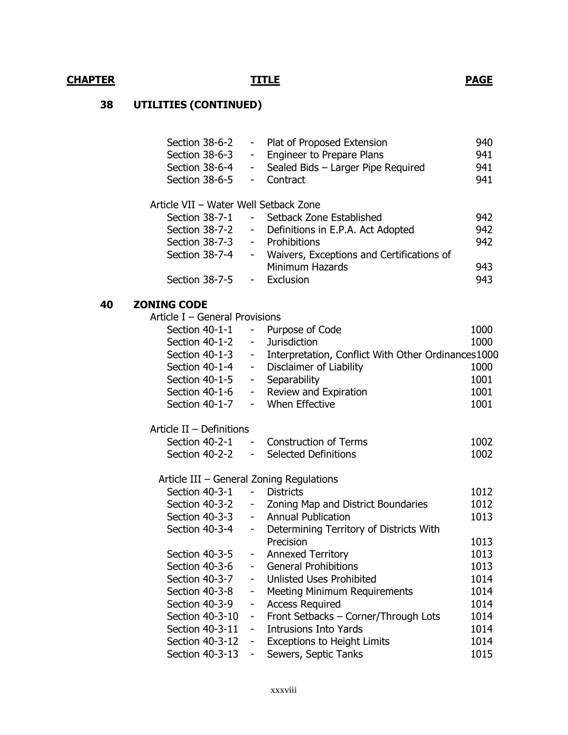**40 ZONING CODE**

# **38 UTILITIES (CONTINUED)**

| Section 38-6-2                           | $\blacksquare$               | Plat of Proposed Extension                         | 940  |
|------------------------------------------|------------------------------|----------------------------------------------------|------|
| Section 38-6-3                           | $\overline{\phantom{0}}$     | <b>Engineer to Prepare Plans</b>                   | 941  |
| Section 38-6-4                           | $\qquad \qquad \blacksquare$ | Sealed Bids - Larger Pipe Required                 | 941  |
| Section 38-6-5                           | $\overline{\phantom{0}}$     | Contract                                           | 941  |
|                                          |                              |                                                    |      |
| Article VII - Water Well Setback Zone    |                              |                                                    |      |
| Section 38-7-1                           |                              | Setback Zone Established                           | 942  |
| Section 38-7-2                           | $\overline{\phantom{a}}$     | Definitions in E.P.A. Act Adopted                  | 942  |
| Section 38-7-3                           |                              | - Prohibitions                                     | 942  |
| Section 38-7-4                           | $\sim$ $-$                   | Waivers, Exceptions and Certifications of          |      |
|                                          |                              | Minimum Hazards                                    | 943  |
| Section 38-7-5                           | $\sim 100$                   | Exclusion                                          | 943  |
| <b>ZONING CODE</b>                       |                              |                                                    |      |
| Article I - General Provisions           |                              |                                                    |      |
| Section 40-1-1                           | $\qquad \qquad \blacksquare$ | Purpose of Code                                    | 1000 |
| Section 40-1-2                           | $\blacksquare$               | <b>Jurisdiction</b>                                | 1000 |
| Section 40-1-3                           | $\blacksquare$               | Interpretation, Conflict With Other Ordinances1000 |      |
| Section 40-1-4                           | $\blacksquare$               | Disclaimer of Liability                            | 1000 |
| Section 40-1-5                           | $\overline{\phantom{a}}$     | Separability                                       | 1001 |
| Section 40-1-6                           | $\equiv$                     | Review and Expiration                              | 1001 |
| Section 40-1-7                           | $\sim 100$                   | When Effective                                     | 1001 |
| Article II - Definitions                 |                              |                                                    |      |
| Section 40-2-1                           |                              | <b>Construction of Terms</b>                       | 1002 |
|                                          |                              | Section 40-2-2 - Selected Definitions              | 1002 |
|                                          |                              |                                                    |      |
| Article III - General Zoning Regulations |                              |                                                    |      |
| Section 40-3-1                           | $\overline{\phantom{a}}$     | <b>Districts</b>                                   | 1012 |
| Section 40-3-2                           | $\sim 100$                   | Zoning Map and District Boundaries                 | 1012 |
| Section 40-3-3                           | $\overline{\phantom{a}}$     | <b>Annual Publication</b>                          | 1013 |
| Section 40-3-4                           | $\qquad \qquad \blacksquare$ | Determining Territory of Districts With            |      |
|                                          |                              | Precision                                          | 1013 |
| Section 40-3-5                           | $\overline{\phantom{0}}$     | <b>Annexed Territory</b>                           | 1013 |
| Section 40-3-6                           | $\overline{\phantom{0}}$     | <b>General Prohibitions</b>                        | 1013 |
| Section 40-3-7                           |                              | <b>Unlisted Uses Prohibited</b>                    | 1014 |
| Section 40-3-8                           | -                            | <b>Meeting Minimum Requirements</b>                | 1014 |
| Section 40-3-9                           | -                            | <b>Access Required</b>                             | 1014 |
| Section 40-3-10                          | $\overline{\phantom{0}}$     | Front Setbacks - Corner/Through Lots               | 1014 |
| Section 40-3-11                          |                              | <b>Intrusions Into Yards</b>                       | 1014 |
| Section 40-3-12                          | -                            | <b>Exceptions to Height Limits</b>                 | 1014 |
| Section 40-3-13                          | $\blacksquare$               | Sewers, Septic Tanks                               | 1015 |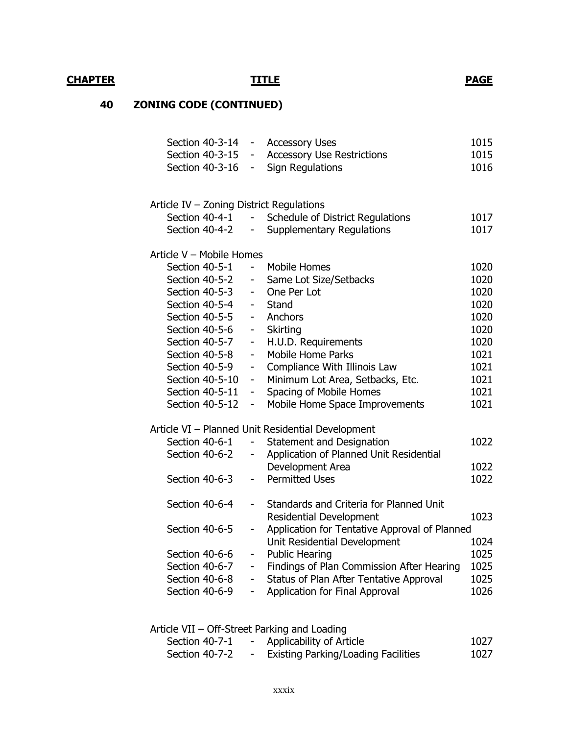## **40 ZONING CODE (CONTINUED)**

| Section 40-3-14                          | $\overline{\phantom{0}}$     | <b>Accessory Uses</b>                             | 1015 |
|------------------------------------------|------------------------------|---------------------------------------------------|------|
| Section 40-3-15                          | $\qquad \qquad \blacksquare$ | <b>Accessory Use Restrictions</b>                 | 1015 |
| Section 40-3-16                          | $\overline{\phantom{0}}$     | Sign Regulations                                  | 1016 |
|                                          |                              |                                                   |      |
|                                          |                              |                                                   |      |
| Article IV - Zoning District Regulations |                              |                                                   |      |
| Section 40-4-1                           | $\overline{\phantom{a}}$     | <b>Schedule of District Regulations</b>           | 1017 |
| Section 40-4-2                           |                              | <b>Supplementary Regulations</b>                  | 1017 |
| Article V - Mobile Homes                 |                              |                                                   |      |
| Section 40-5-1                           | $\blacksquare$               | <b>Mobile Homes</b>                               | 1020 |
| Section 40-5-2                           | $\overline{\phantom{a}}$     | Same Lot Size/Setbacks                            | 1020 |
| Section 40-5-3                           | $\overline{\phantom{0}}$     | One Per Lot                                       | 1020 |
| Section 40-5-4                           | $\overline{\phantom{a}}$     | Stand                                             | 1020 |
| Section 40-5-5                           | $\overline{\phantom{0}}$     | Anchors                                           | 1020 |
| Section 40-5-6                           | $\overline{\phantom{0}}$     | <b>Skirting</b>                                   | 1020 |
| Section 40-5-7                           | $\frac{1}{2}$                | H.U.D. Requirements                               | 1020 |
| Section 40-5-8                           | $\overline{\phantom{0}}$     | <b>Mobile Home Parks</b>                          | 1021 |
| Section 40-5-9                           | $\overline{\phantom{0}}$     | Compliance With Illinois Law                      | 1021 |
| Section 40-5-10                          | $\overline{\phantom{0}}$     | Minimum Lot Area, Setbacks, Etc.                  | 1021 |
| Section 40-5-11                          | $\overline{\phantom{0}}$     | Spacing of Mobile Homes                           | 1021 |
| Section 40-5-12                          |                              | Mobile Home Space Improvements                    | 1021 |
|                                          | $\overline{\phantom{0}}$     |                                                   |      |
|                                          |                              | Article VI - Planned Unit Residential Development |      |
| Section 40-6-1                           | -                            | <b>Statement and Designation</b>                  | 1022 |
| Section 40-6-2                           | $\overline{\phantom{0}}$     | Application of Planned Unit Residential           |      |
|                                          |                              | Development Area                                  | 1022 |
| Section 40-6-3                           | Ξ.                           | <b>Permitted Uses</b>                             | 1022 |
|                                          |                              |                                                   |      |
| Section 40-6-4                           | $\overline{\phantom{0}}$     | Standards and Criteria for Planned Unit           | 1023 |
|                                          |                              | <b>Residential Development</b>                    |      |
| Section 40-6-5                           | ۰                            | Application for Tentative Approval of Planned     |      |
|                                          |                              | Unit Residential Development                      | 1024 |
| Section 40-6-6                           | -                            | <b>Public Hearing</b>                             | 1025 |
| Section 40-6-7                           |                              | Findings of Plan Commission After Hearing         | 1025 |
| Section 40-6-8                           | $\blacksquare$               | Status of Plan After Tentative Approval           | 1025 |
| Section 40-6-9                           | $\overline{\phantom{0}}$     | Application for Final Approval                    | 1026 |
|                                          |                              |                                                   |      |

Article VII – Off-Street Parking and Loading

| Section 40-7-1 | Applicability of Article                   | 1027 |
|----------------|--------------------------------------------|------|
| Section 40-7-2 | <b>Existing Parking/Loading Facilities</b> | 1027 |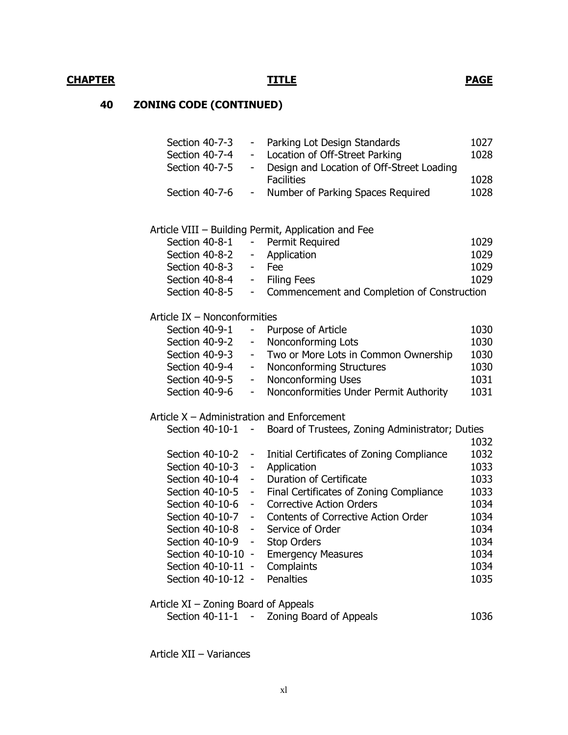# **40 ZONING CODE (CONTINUED)**

| Section 40-7-3                       |                    | -                        | Parking Lot Design Standards                        | 1027 |  |
|--------------------------------------|--------------------|--------------------------|-----------------------------------------------------|------|--|
| Section 40-7-4                       |                    | $\sim 10$                | Location of Off-Street Parking                      | 1028 |  |
| Section 40-7-5                       |                    | $\overline{\phantom{0}}$ | Design and Location of Off-Street Loading           |      |  |
|                                      |                    |                          | <b>Facilities</b>                                   | 1028 |  |
| Section 40-7-6                       |                    | $\overline{\phantom{a}}$ | Number of Parking Spaces Required                   | 1028 |  |
|                                      |                    |                          |                                                     |      |  |
|                                      |                    |                          | Article VIII - Building Permit, Application and Fee |      |  |
| Section 40-8-1                       |                    | $\qquad \qquad -$        | Permit Required                                     | 1029 |  |
| Section 40-8-2                       |                    | $\sim$                   | Application                                         | 1029 |  |
| Section 40-8-3                       |                    |                          | - Fee                                               | 1029 |  |
| Section 40-8-4                       |                    | $\sim 100$               | <b>Filing Fees</b>                                  | 1029 |  |
| Section 40-8-5                       |                    | $\overline{\phantom{a}}$ | Commencement and Completion of Construction         |      |  |
| Article IX - Nonconformities         |                    |                          |                                                     |      |  |
| Section 40-9-1                       |                    | $\blacksquare$           | Purpose of Article                                  | 1030 |  |
| Section 40-9-2                       |                    | -                        | Nonconforming Lots                                  | 1030 |  |
| Section 40-9-3                       |                    | $\sim$                   | Two or More Lots in Common Ownership                | 1030 |  |
| Section 40-9-4                       |                    | $\sim$                   | Nonconforming Structures                            | 1030 |  |
| Section 40-9-5                       |                    | $\sim$ $-$               | <b>Nonconforming Uses</b>                           | 1031 |  |
| Section 40-9-6                       |                    | н.                       | Nonconformities Under Permit Authority              | 1031 |  |
|                                      |                    |                          |                                                     |      |  |
|                                      |                    |                          | Article X - Administration and Enforcement          |      |  |
|                                      | Section 40-10-1 -  |                          | Board of Trustees, Zoning Administrator; Duties     |      |  |
|                                      |                    |                          |                                                     | 1032 |  |
| Section 40-10-2                      |                    | -                        | Initial Certificates of Zoning Compliance           | 1032 |  |
| Section 40-10-3                      |                    | $\overline{\phantom{0}}$ | Application                                         | 1033 |  |
| Section 40-10-4                      |                    | $\blacksquare$           | Duration of Certificate                             | 1033 |  |
| Section 40-10-5                      |                    | $\overline{\phantom{a}}$ | Final Certificates of Zoning Compliance             | 1033 |  |
| Section 40-10-6                      |                    | $\overline{\phantom{0}}$ | <b>Corrective Action Orders</b>                     | 1034 |  |
| Section 40-10-7                      |                    | $\sim$ .                 | <b>Contents of Corrective Action Order</b>          | 1034 |  |
| Section 40-10-8                      |                    | $\blacksquare$           | Service of Order                                    | 1034 |  |
| Section 40-10-9                      |                    | $\frac{1}{2}$            | <b>Stop Orders</b>                                  | 1034 |  |
|                                      | Section 40-10-10 - |                          | <b>Emergency Measures</b>                           | 1034 |  |
|                                      |                    |                          | Section 40-10-11 - Complaints                       | 1034 |  |
|                                      |                    |                          | Section 40-10-12 - Penalties                        | 1035 |  |
| Article XI - Zoning Board of Appeals |                    |                          |                                                     |      |  |
|                                      |                    |                          | Section 40-11-1 - Zoning Board of Appeals           | 1036 |  |
|                                      |                    |                          |                                                     |      |  |

Article XII – Variances